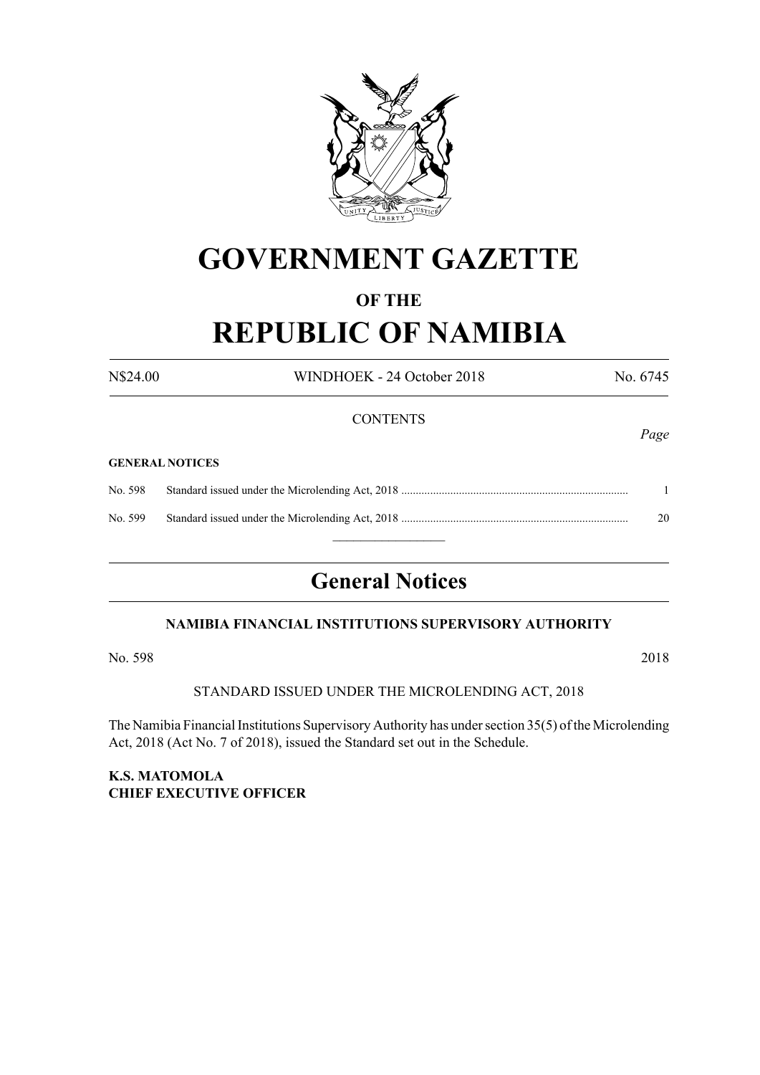

# **GOVERNMENT GAZETTE**

## **OF THE**

# **REPUBLIC OF NAMIBIA**

N\$24.00 WINDHOEK - 24 October 2018 No. 6745

**CONTENTS** *Page* **GENERAL NOTICES** No. 598 Standard issued under the Microlending Act, 2018 ............................................................................... 1 No. 599 Standard issued under the Microlending Act, 2018 ............................................................................... 20  $\overline{\phantom{a}}$  , where  $\overline{\phantom{a}}$ 

## **General Notices**

## **NAMIBIA FINANCIAL INSTITUTIONS SUPERVISORY AUTHORITY**

No. 598 2018

## STANDARD ISSUED UNDER THE MICROLENDING ACT, 2018

The Namibia Financial Institutions Supervisory Authority has under section 35(5) of the Microlending Act, 2018 (Act No. 7 of 2018), issued the Standard set out in the Schedule.

## **K.S. MATOMOLA CHIEF EXECUTIVE OFFICER**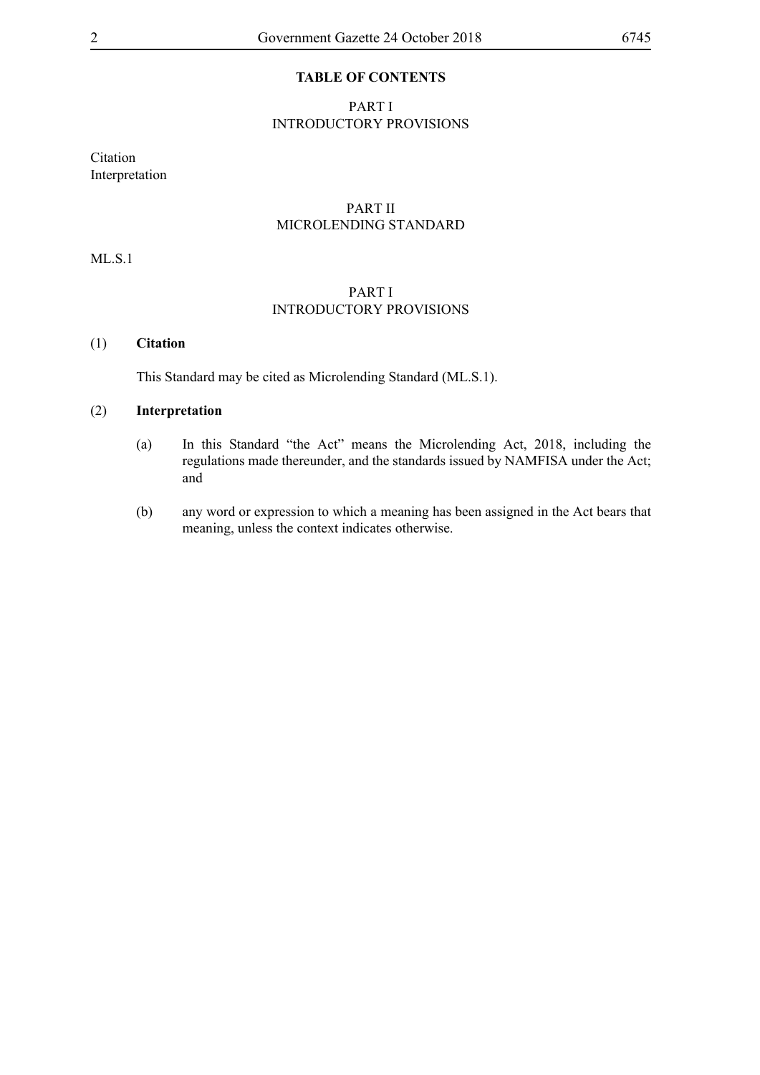## **TABLE OF CONTENTS**

## PART I INTRODUCTORY PROVISIONS

Citation Interpretation

## PART II MICROLENDING STANDARD

ML.S.1

## PART I INTRODUCTORY PROVISIONS

## (1) **Citation**

This Standard may be cited as Microlending Standard (ML.S.1).

#### (2) **Interpretation**

- (a) In this Standard "the Act" means the Microlending Act, 2018, including the regulations made thereunder, and the standards issued by NAMFISA under the Act; and
- (b) any word or expression to which a meaning has been assigned in the Act bears that meaning, unless the context indicates otherwise.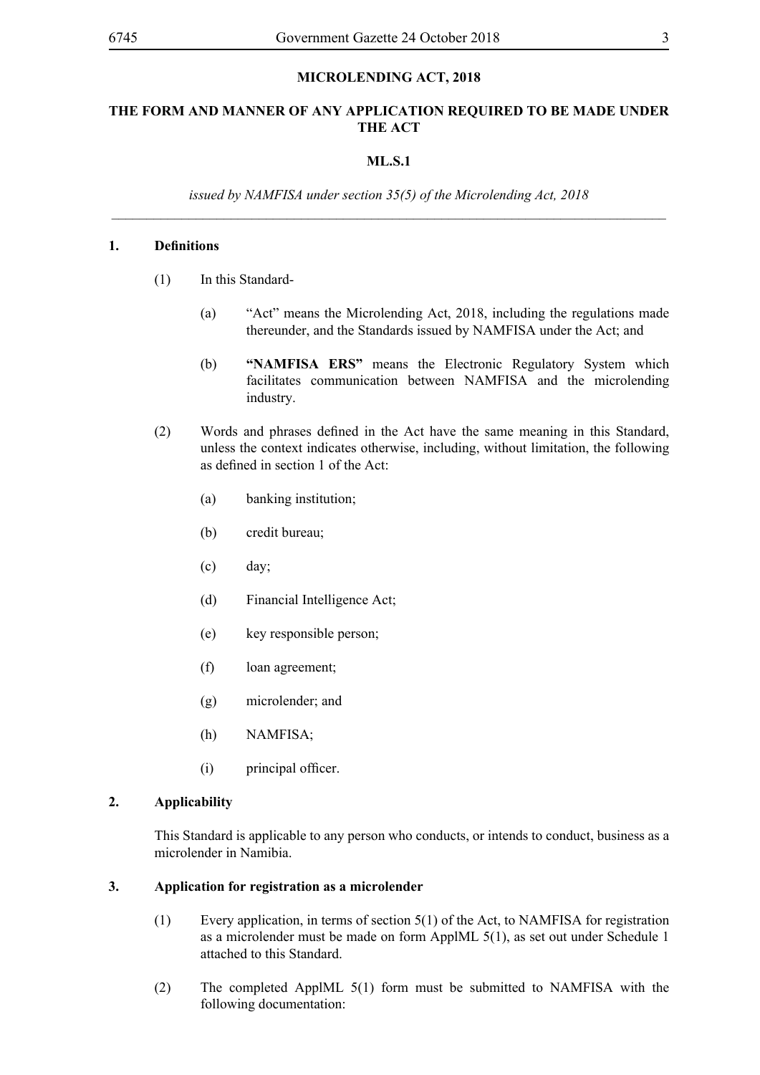## **MICROLENDING ACT, 2018**

## **THE FORM AND MANNER OF ANY APPLICATION REQUIRED TO BE MADE UNDER THE ACT**

## **ML.S.1**

*issued by NAMFISA under section 35(5) of the Microlending Act, 2018 \_\_\_\_\_\_\_\_\_\_\_\_\_\_\_\_\_\_\_\_\_\_\_\_\_\_\_\_\_\_\_\_\_\_\_\_\_\_\_\_\_\_\_\_\_\_\_\_\_\_\_\_\_\_\_\_\_\_\_\_\_\_\_\_\_\_\_\_\_\_\_\_\_\_\_\_\_\_\_*

## **1. Definitions**

- (1) In this Standard-
	- (a) "Act" means the Microlending Act, 2018, including the regulations made thereunder, and the Standards issued by NAMFISA under the Act; and
	- (b) **"NAMFISA ERS"** means the Electronic Regulatory System which facilitates communication between NAMFISA and the microlending industry.
- (2) Words and phrases defined in the Act have the same meaning in this Standard, unless the context indicates otherwise, including, without limitation, the following as defined in section 1 of the Act:
	- (a) banking institution;
	- (b) credit bureau;
	- (c) day;
	- (d) Financial Intelligence Act;
	- (e) key responsible person;
	- (f) loan agreement;
	- (g) microlender; and
	- (h) NAMFISA;
	- (i) principal officer.

## **2. Applicability**

This Standard is applicable to any person who conducts, or intends to conduct, business as a microlender in Namibia.

#### **3. Application for registration as a microlender**

- (1) Every application, in terms of section 5(1) of the Act, to NAMFISA for registration as a microlender must be made on form ApplML 5(1), as set out under Schedule 1 attached to this Standard.
- (2) The completed ApplML 5(1) form must be submitted to NAMFISA with the following documentation: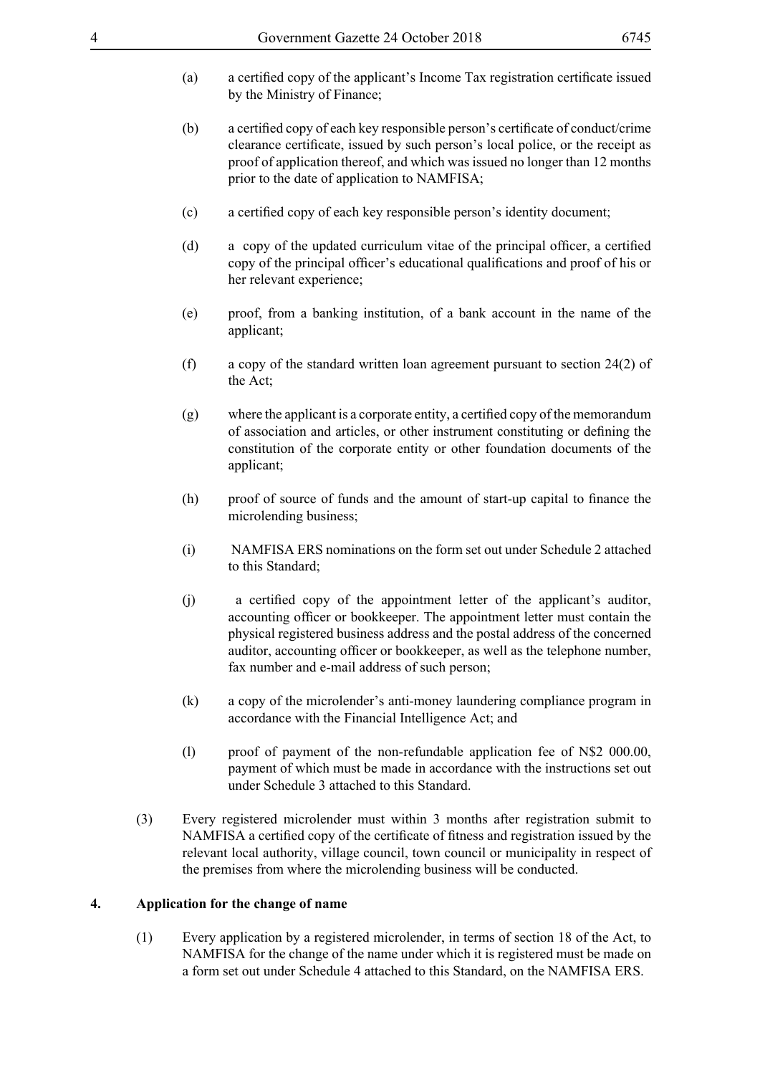- (a) a certified copy of the applicant's Income Tax registration certificate issued by the Ministry of Finance;
- (b) a certified copy of each key responsible person's certificate of conduct/crime clearance certificate, issued by such person's local police, or the receipt as proof of application thereof, and which was issued no longer than 12 months prior to the date of application to NAMFISA;
- (c) a certified copy of each key responsible person's identity document;
- (d) a copy of the updated curriculum vitae of the principal officer, a certified copy of the principal officer's educational qualifications and proof of his or her relevant experience;
- (e) proof, from a banking institution, of a bank account in the name of the applicant;
- (f) a copy of the standard written loan agreement pursuant to section 24(2) of the Act;
- $(g)$  where the applicant is a corporate entity, a certified copy of the memorandum of association and articles, or other instrument constituting or defining the constitution of the corporate entity or other foundation documents of the applicant;
- (h) proof of source of funds and the amount of start-up capital to finance the microlending business;
- (i) NAMFISA ERS nominations on the form set out under Schedule 2 attached to this Standard;
- (i) a certified copy of the appointment letter of the applicant's auditor, accounting officer or bookkeeper. The appointment letter must contain the physical registered business address and the postal address of the concerned auditor, accounting officer or bookkeeper, as well as the telephone number, fax number and e-mail address of such person;
- (k) a copy of the microlender's anti-money laundering compliance program in accordance with the Financial Intelligence Act; and
- (l) proof of payment of the non-refundable application fee of N\$2 000.00, payment of which must be made in accordance with the instructions set out under Schedule 3 attached to this Standard.
- (3) Every registered microlender must within 3 months after registration submit to NAMFISA a certified copy of the certificate of fitness and registration issued by the relevant local authority, village council, town council or municipality in respect of the premises from where the microlending business will be conducted.

## **4. Application for the change of name**

(1) Every application by a registered microlender, in terms of section 18 of the Act, to NAMFISA for the change of the name under which it is registered must be made on a form set out under Schedule 4 attached to this Standard, on the NAMFISA ERS.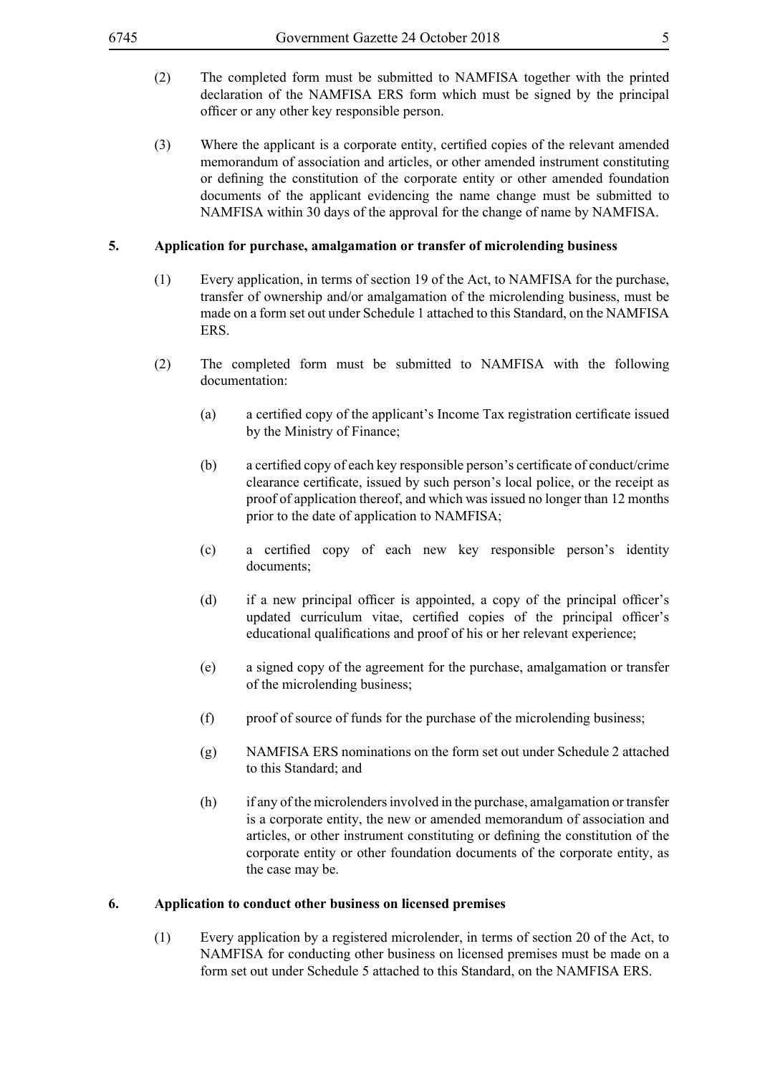- (2) The completed form must be submitted to NAMFISA together with the printed declaration of the NAMFISA ERS form which must be signed by the principal officer or any other key responsible person.
- (3) Where the applicant is a corporate entity, certified copies of the relevant amended memorandum of association and articles, or other amended instrument constituting or defining the constitution of the corporate entity or other amended foundation documents of the applicant evidencing the name change must be submitted to NAMFISA within 30 days of the approval for the change of name by NAMFISA.

#### **5. Application for purchase, amalgamation or transfer of microlending business**

- (1) Every application, in terms of section 19 of the Act, to NAMFISA for the purchase, transfer of ownership and/or amalgamation of the microlending business, must be made on a form set out under Schedule 1 attached to this Standard, on the NAMFISA ERS.
- (2) The completed form must be submitted to NAMFISA with the following documentation:
	- (a) a certified copy of the applicant's Income Tax registration certificate issued by the Ministry of Finance;
	- (b) a certified copy of each key responsible person's certificate of conduct/crime clearance certificate, issued by such person's local police, or the receipt as proof of application thereof, and which was issued no longer than 12 months prior to the date of application to NAMFISA;
	- (c) a certified copy of each new key responsible person's identity documents;
	- (d) if a new principal officer is appointed, a copy of the principal officer's updated curriculum vitae, certified copies of the principal officer's educational qualifications and proof of his or her relevant experience;
	- (e) a signed copy of the agreement for the purchase, amalgamation or transfer of the microlending business;
	- (f) proof of source of funds for the purchase of the microlending business;
	- (g) NAMFISA ERS nominations on the form set out under Schedule 2 attached to this Standard; and
	- (h) if any of the microlenders involved in the purchase, amalgamation or transfer is a corporate entity, the new or amended memorandum of association and articles, or other instrument constituting or defining the constitution of the corporate entity or other foundation documents of the corporate entity, as the case may be.

#### **6. Application to conduct other business on licensed premises**

(1) Every application by a registered microlender, in terms of section 20 of the Act, to NAMFISA for conducting other business on licensed premises must be made on a form set out under Schedule 5 attached to this Standard, on the NAMFISA ERS.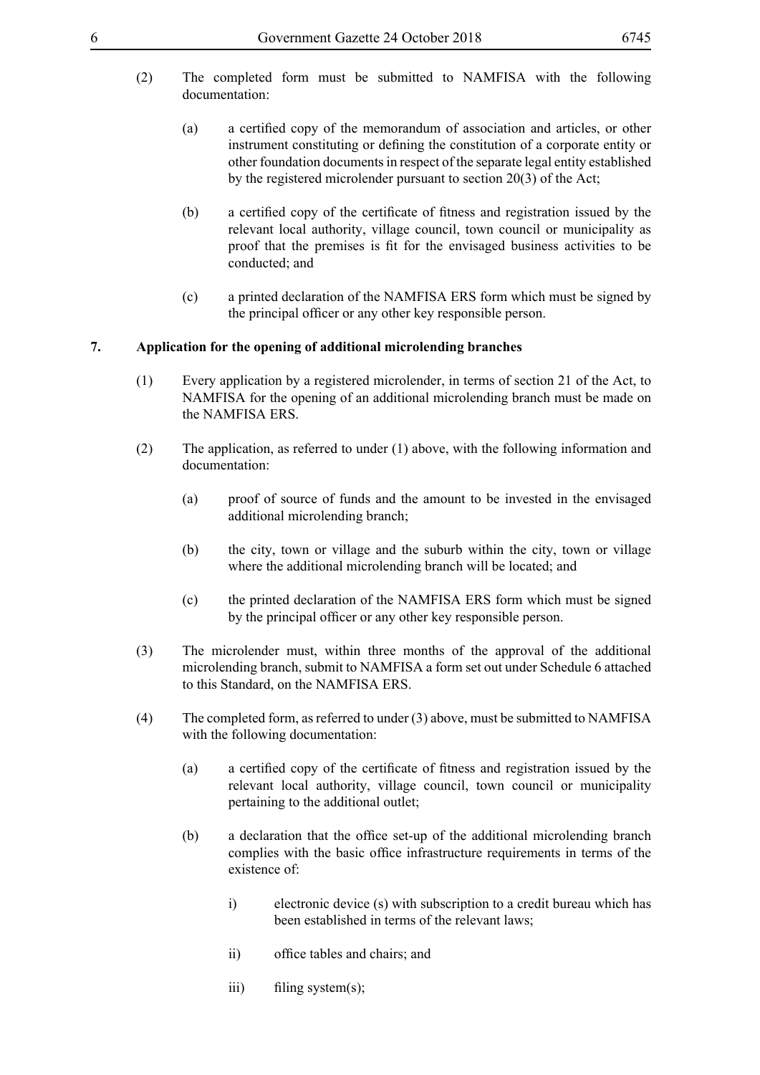- (2) The completed form must be submitted to NAMFISA with the following documentation:
	- (a) a certified copy of the memorandum of association and articles, or other instrument constituting or defining the constitution of a corporate entity or other foundation documents in respect of the separate legal entity established by the registered microlender pursuant to section 20(3) of the Act;
	- (b) a certified copy of the certificate of fitness and registration issued by the relevant local authority, village council, town council or municipality as proof that the premises is fit for the envisaged business activities to be conducted; and
	- (c) a printed declaration of the NAMFISA ERS form which must be signed by the principal officer or any other key responsible person.

## **7. Application for the opening of additional microlending branches**

- (1) Every application by a registered microlender, in terms of section 21 of the Act, to NAMFISA for the opening of an additional microlending branch must be made on the NAMFISA ERS.
- (2) The application, as referred to under (1) above, with the following information and documentation:
	- (a) proof of source of funds and the amount to be invested in the envisaged additional microlending branch;
	- (b) the city, town or village and the suburb within the city, town or village where the additional microlending branch will be located; and
	- (c) the printed declaration of the NAMFISA ERS form which must be signed by the principal officer or any other key responsible person.
- (3) The microlender must, within three months of the approval of the additional microlending branch, submit to NAMFISA a form set out under Schedule 6 attached to this Standard, on the NAMFISA ERS.
- (4) The completed form, as referred to under (3) above, must be submitted to NAMFISA with the following documentation:
	- (a) a certified copy of the certificate of fitness and registration issued by the relevant local authority, village council, town council or municipality pertaining to the additional outlet;
	- (b) a declaration that the office set-up of the additional microlending branch complies with the basic office infrastructure requirements in terms of the existence of:
		- i) electronic device (s) with subscription to a credit bureau which has been established in terms of the relevant laws;
		- ii) office tables and chairs; and
		- iii) filing system(s);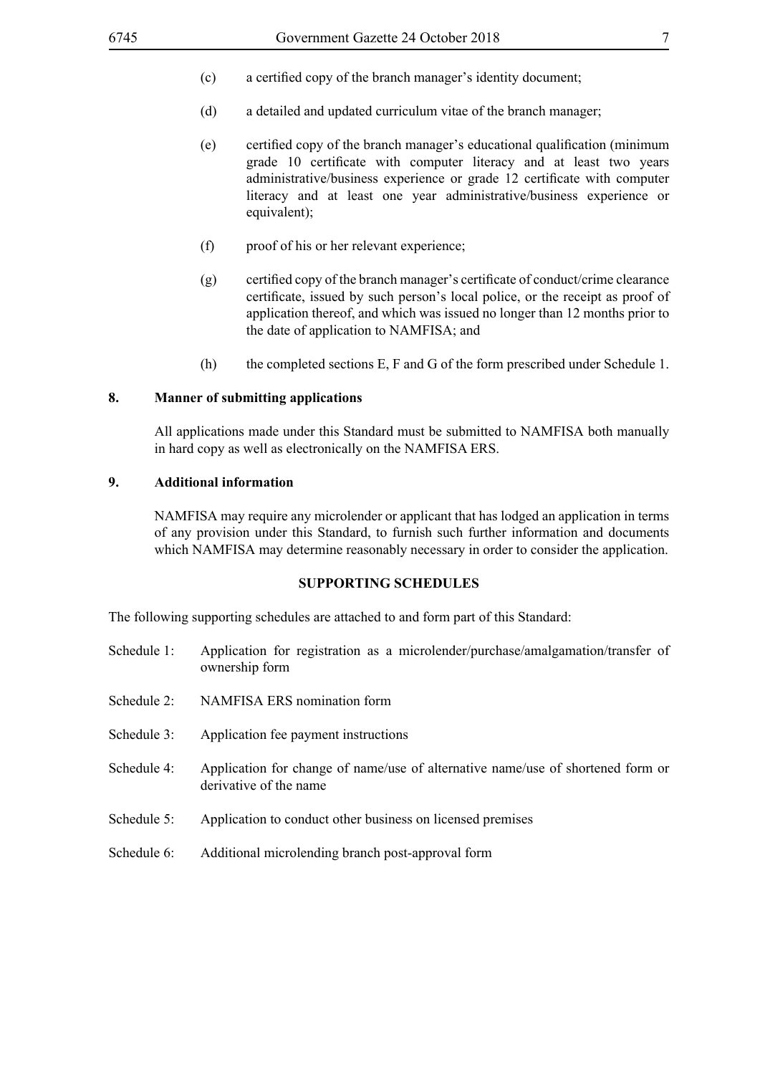- (c) a certified copy of the branch manager's identity document;
- (d) a detailed and updated curriculum vitae of the branch manager;
- (e) certified copy of the branch manager's educational qualification (minimum grade 10 certificate with computer literacy and at least two years administrative/business experience or grade 12 certificate with computer literacy and at least one year administrative/business experience or equivalent);
- (f) proof of his or her relevant experience;
- $(g)$  certified copy of the branch manager's certificate of conduct/crime clearance certificate, issued by such person's local police, or the receipt as proof of application thereof, and which was issued no longer than 12 months prior to the date of application to NAMFISA; and
- (h) the completed sections E, F and G of the form prescribed under Schedule 1.

#### **8. Manner of submitting applications**

All applications made under this Standard must be submitted to NAMFISA both manually in hard copy as well as electronically on the NAMFISA ERS.

#### **9. Additional information**

NAMFISA may require any microlender or applicant that has lodged an application in terms of any provision under this Standard, to furnish such further information and documents which NAMFISA may determine reasonably necessary in order to consider the application.

#### **SUPPORTING SCHEDULES**

The following supporting schedules are attached to and form part of this Standard:

- Schedule 1: Application for registration as a microlender/purchase/amalgamation/transfer of ownership form
- Schedule 2: NAMFISA ERS nomination form
- Schedule 3: Application fee payment instructions
- Schedule 4: Application for change of name/use of alternative name/use of shortened form or derivative of the name
- Schedule 5: Application to conduct other business on licensed premises
- Schedule 6: Additional microlending branch post-approval form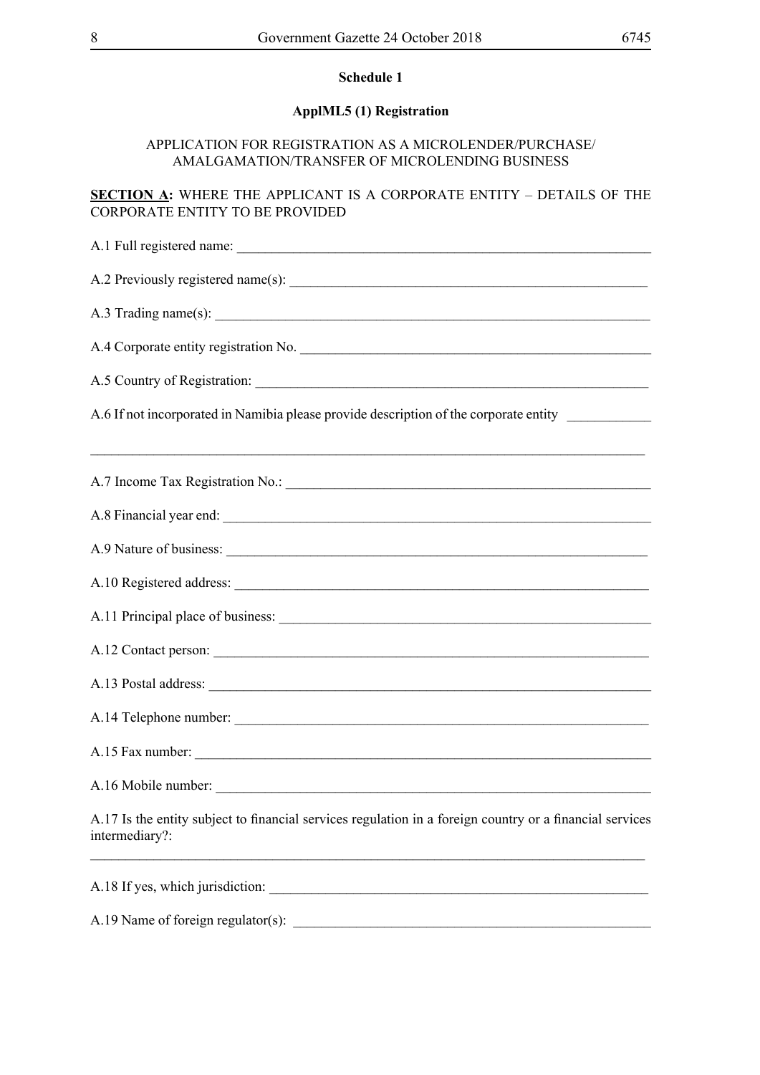## **ApplML5 (1) Registration**

## APPLICATION FOR REGISTRATION AS A MICROLENDER/PURCHASE/ AMALGAMATION/TRANSFER OF MICROLENDING BUSINESS

## **SECTION A:** WHERE THE APPLICANT IS A CORPORATE ENTITY – DETAILS OF THE CORPORATE ENTITY TO BE PROVIDED

| A.4 Corporate entity registration No.                                                                                      |
|----------------------------------------------------------------------------------------------------------------------------|
|                                                                                                                            |
| A.6 If not incorporated in Namibia please provide description of the corporate entity ___________                          |
|                                                                                                                            |
|                                                                                                                            |
|                                                                                                                            |
|                                                                                                                            |
|                                                                                                                            |
|                                                                                                                            |
|                                                                                                                            |
|                                                                                                                            |
|                                                                                                                            |
| A.15 Fax number:                                                                                                           |
| A.16 Mobile number:                                                                                                        |
| A.17 Is the entity subject to financial services regulation in a foreign country or a financial services<br>intermediary?: |
|                                                                                                                            |

A.18 If yes, which jurisdiction: \_\_\_\_\_\_\_\_\_\_\_\_\_\_\_\_\_\_\_\_\_\_\_\_\_\_\_\_\_\_\_\_\_\_\_\_\_\_\_\_\_\_\_\_\_\_\_\_\_\_\_\_\_\_ A.19 Name of foreign regulator(s): \_\_\_\_\_\_\_\_\_\_\_\_\_\_\_\_\_\_\_\_\_\_\_\_\_\_\_\_\_\_\_\_\_\_\_\_\_\_\_\_\_\_\_\_\_\_\_\_\_\_\_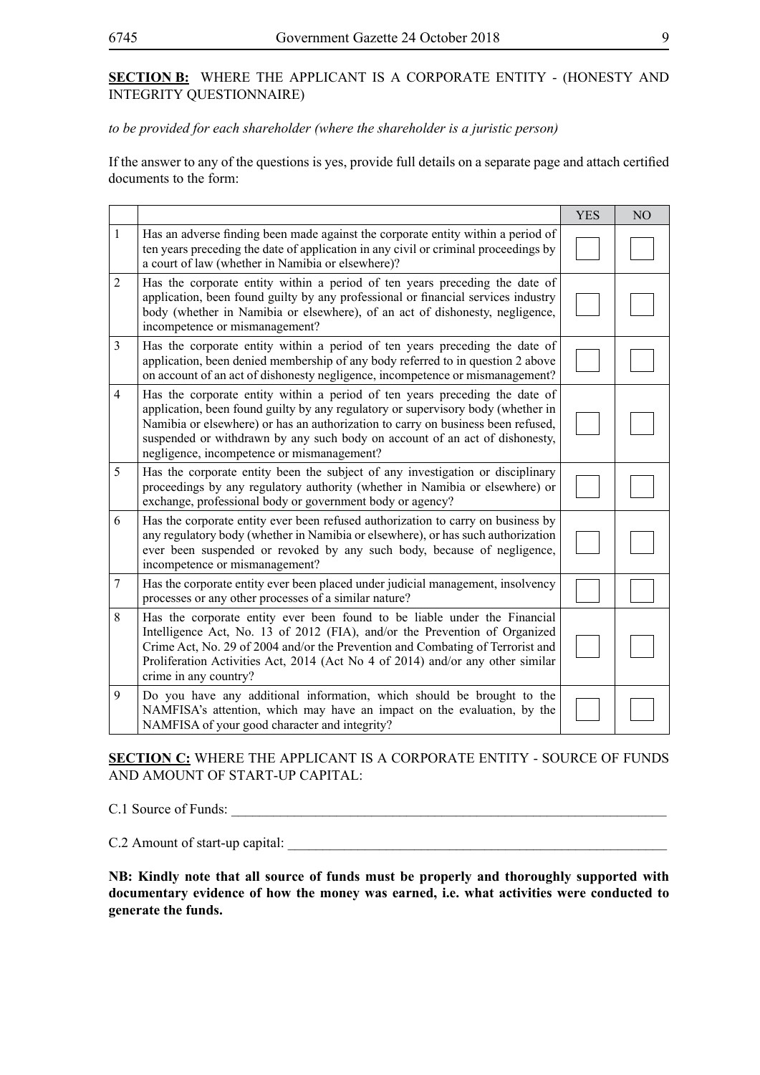## **SECTION B:** WHERE THE APPLICANT IS A CORPORATE ENTITY - (HONESTY AND INTEGRITY QUESTIONNAIRE)

## *to be provided for each shareholder (where the shareholder is a juristic person)*

If the answer to any of the questions is yes, provide full details on a separate page and attach certified documents to the form:

|                |                                                                                                                                                                                                                                                                                                                                                                                  | <b>YES</b> | N <sub>O</sub> |
|----------------|----------------------------------------------------------------------------------------------------------------------------------------------------------------------------------------------------------------------------------------------------------------------------------------------------------------------------------------------------------------------------------|------------|----------------|
| $\mathbf{1}$   | Has an adverse finding been made against the corporate entity within a period of<br>ten years preceding the date of application in any civil or criminal proceedings by<br>a court of law (whether in Namibia or elsewhere)?                                                                                                                                                     |            |                |
| $\overline{2}$ | Has the corporate entity within a period of ten years preceding the date of<br>application, been found guilty by any professional or financial services industry<br>body (whether in Namibia or elsewhere), of an act of dishonesty, negligence,<br>incompetence or mismanagement?                                                                                               |            |                |
| 3              | Has the corporate entity within a period of ten years preceding the date of<br>application, been denied membership of any body referred to in question 2 above<br>on account of an act of dishonesty negligence, incompetence or mismanagement?                                                                                                                                  |            |                |
| $\overline{4}$ | Has the corporate entity within a period of ten years preceding the date of<br>application, been found guilty by any regulatory or supervisory body (whether in<br>Namibia or elsewhere) or has an authorization to carry on business been refused,<br>suspended or withdrawn by any such body on account of an act of dishonesty,<br>negligence, incompetence or mismanagement? |            |                |
| 5              | Has the corporate entity been the subject of any investigation or disciplinary<br>proceedings by any regulatory authority (whether in Namibia or elsewhere) or<br>exchange, professional body or government body or agency?                                                                                                                                                      |            |                |
| 6              | Has the corporate entity ever been refused authorization to carry on business by<br>any regulatory body (whether in Namibia or elsewhere), or has such authorization<br>ever been suspended or revoked by any such body, because of negligence,<br>incompetence or mismanagement?                                                                                                |            |                |
| $\tau$         | Has the corporate entity ever been placed under judicial management, insolvency<br>processes or any other processes of a similar nature?                                                                                                                                                                                                                                         |            |                |
| 8              | Has the corporate entity ever been found to be liable under the Financial<br>Intelligence Act, No. 13 of 2012 (FIA), and/or the Prevention of Organized<br>Crime Act, No. 29 of 2004 and/or the Prevention and Combating of Terrorist and<br>Proliferation Activities Act, 2014 (Act No 4 of 2014) and/or any other similar<br>crime in any country?                             |            |                |
| 9              | Do you have any additional information, which should be brought to the<br>NAMFISA's attention, which may have an impact on the evaluation, by the<br>NAMFISA of your good character and integrity?                                                                                                                                                                               |            |                |

**SECTION C:** WHERE THE APPLICANT IS A CORPORATE ENTITY - SOURCE OF FUNDS AND AMOUNT OF START-UP CAPITAL:

C.1 Source of Funds: \_\_\_\_\_\_\_\_\_\_\_\_\_\_\_\_\_\_\_\_\_\_\_\_\_\_\_\_\_\_\_\_\_\_\_\_\_\_\_\_\_\_\_\_\_\_\_\_\_\_\_\_\_\_\_\_\_\_\_\_\_\_

C.2 Amount of start-up capital:

**NB: Kindly note that all source of funds must be properly and thoroughly supported with documentary evidence of how the money was earned, i.e. what activities were conducted to generate the funds.**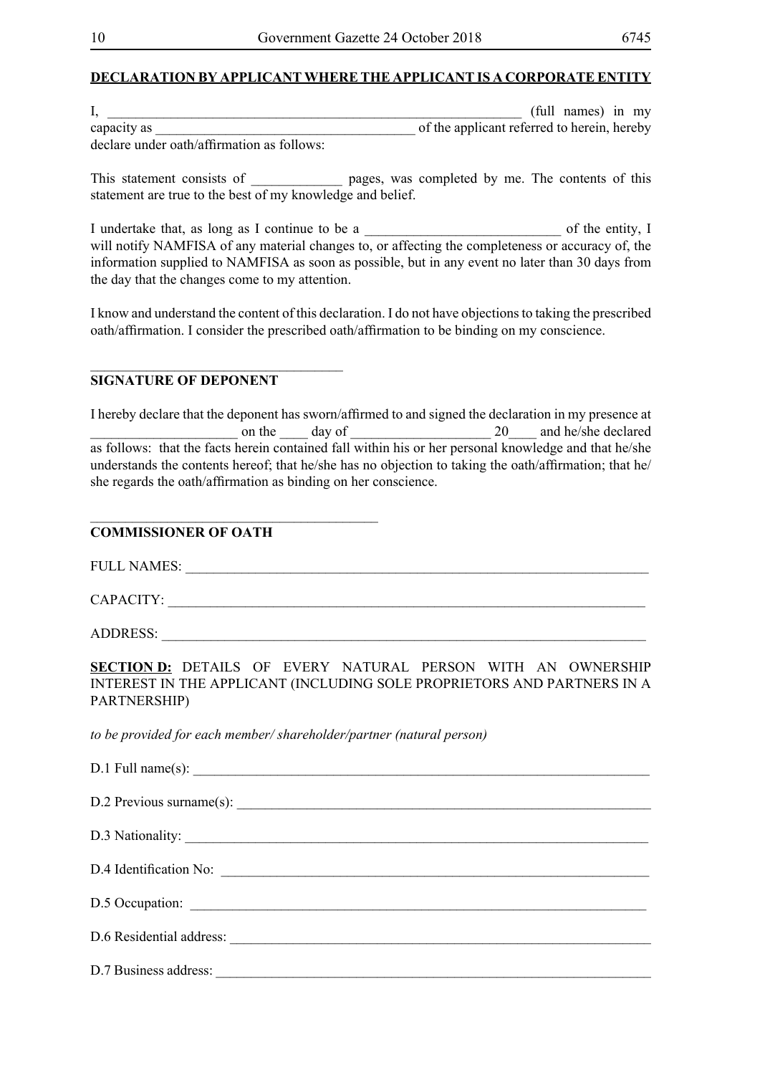## **DECLARATION BY APPLICANT WHERE THE APPLICANT IS A CORPORATE ENTITY**

| л.                                         | (full names) in my                          |
|--------------------------------------------|---------------------------------------------|
| capacity as                                | of the applicant referred to herein, hereby |
| declare under oath/affirmation as follows: |                                             |

This statement consists of \_\_\_\_\_\_\_\_\_\_\_\_\_ pages, was completed by me. The contents of this statement are true to the best of my knowledge and belief.

I undertake that, as long as I continue to be a  $\qquad \qquad$  of the entity, I will notify NAMFISA of any material changes to, or affecting the completeness or accuracy of, the information supplied to NAMFISA as soon as possible, but in any event no later than 30 days from the day that the changes come to my attention.

I know and understand the content of this declaration. I do not have objections to taking the prescribed oath/affirmation. I consider the prescribed oath/affirmation to be binding on my conscience.

## **SIGNATURE OF DEPONENT**

 $\mathcal{L}=\mathcal{L}=\mathcal{L}=\mathcal{L}=\mathcal{L}=\mathcal{L}=\mathcal{L}=\mathcal{L}=\mathcal{L}=\mathcal{L}=\mathcal{L}=\mathcal{L}=\mathcal{L}=\mathcal{L}=\mathcal{L}=\mathcal{L}=\mathcal{L}=\mathcal{L}=\mathcal{L}=\mathcal{L}=\mathcal{L}=\mathcal{L}=\mathcal{L}=\mathcal{L}=\mathcal{L}=\mathcal{L}=\mathcal{L}=\mathcal{L}=\mathcal{L}=\mathcal{L}=\mathcal{L}=\mathcal{L}=\mathcal{L}=\mathcal{L}=\mathcal{L}=\mathcal{L}=\mathcal{$ 

I hereby declare that the deponent has sworn/affirmed to and signed the declaration in my presence at on the day of  $20$  and he/she declared as follows: that the facts herein contained fall within his or her personal knowledge and that he/she understands the contents hereof; that he/she has no objection to taking the oath/affirmation; that he/ she regards the oath/affirmation as binding on her conscience.

## **COMMISSIONER OF OATH**

FULL NAMES:

\_\_\_\_\_\_\_\_\_\_\_\_\_\_\_\_\_\_\_\_\_\_\_\_\_\_\_\_\_\_\_\_\_\_\_\_\_\_\_\_\_

CAPACITY:

ADDRESS: \_\_\_\_\_\_\_\_\_\_\_\_\_\_\_\_\_\_\_\_\_\_\_\_\_\_\_\_\_\_\_\_\_\_\_\_\_\_\_\_\_\_\_\_\_\_\_\_\_\_\_\_\_\_\_\_\_\_\_\_\_\_\_\_\_\_\_\_\_

**SECTION D:** DETAILS OF EVERY NATURAL PERSON WITH AN OWNERSHIP INTEREST IN THE APPLICANT (INCLUDING SOLE PROPRIETORS AND PARTNERS IN A PARTNERSHIP)

*to be provided for each member/ shareholder/partner (natural person)*

| $D.1$ Full name(s): $\qquad \qquad$ |
|-------------------------------------|
| D.2 Previous surname(s):            |
|                                     |
| D.4 Identification No:              |
| D.5 Occupation:                     |
|                                     |
|                                     |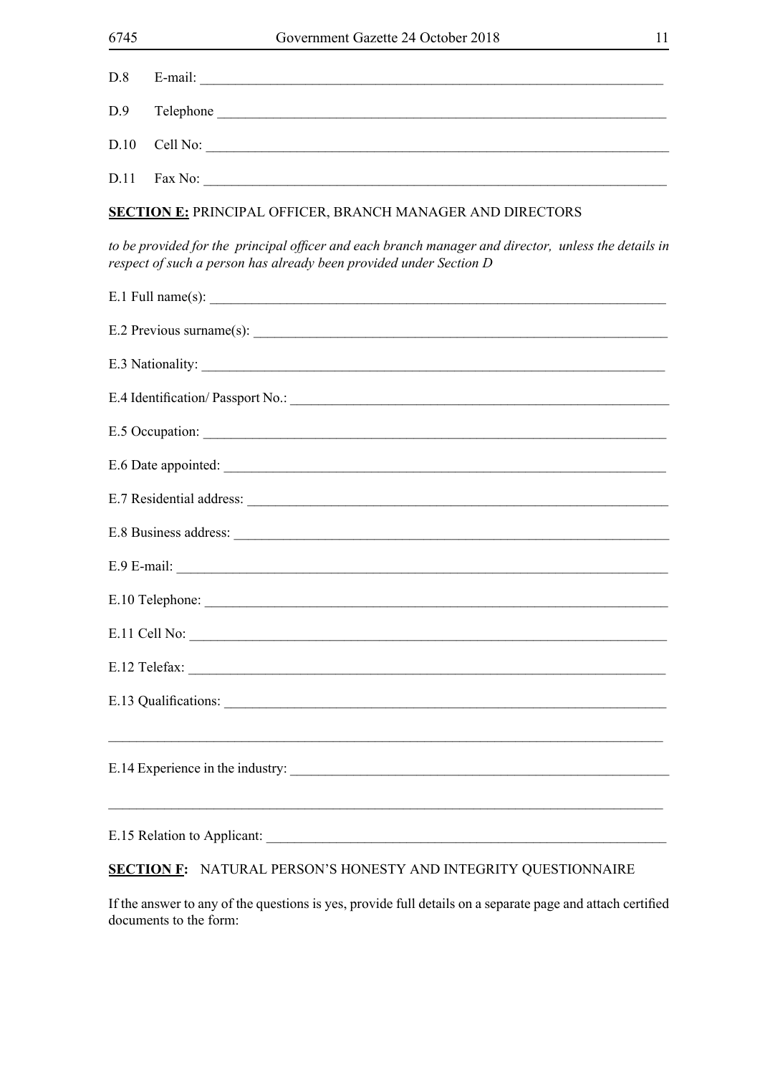| D.8  |                                                                                                                                                                            |  |  |  |  |
|------|----------------------------------------------------------------------------------------------------------------------------------------------------------------------------|--|--|--|--|
| D.9  |                                                                                                                                                                            |  |  |  |  |
| D.10 | Cell No:                                                                                                                                                                   |  |  |  |  |
| D.11 | Fax No:                                                                                                                                                                    |  |  |  |  |
|      | <b>SECTION E: PRINCIPAL OFFICER, BRANCH MANAGER AND DIRECTORS</b>                                                                                                          |  |  |  |  |
|      | to be provided for the principal officer and each branch manager and director, unless the details in<br>respect of such a person has already been provided under Section D |  |  |  |  |
|      | $E.1$ Full name(s): $\qquad \qquad$                                                                                                                                        |  |  |  |  |
|      |                                                                                                                                                                            |  |  |  |  |
|      | E.3 Nationality:                                                                                                                                                           |  |  |  |  |
|      |                                                                                                                                                                            |  |  |  |  |
|      |                                                                                                                                                                            |  |  |  |  |
|      |                                                                                                                                                                            |  |  |  |  |
|      |                                                                                                                                                                            |  |  |  |  |
|      |                                                                                                                                                                            |  |  |  |  |
|      |                                                                                                                                                                            |  |  |  |  |
|      | E.10 Telephone:                                                                                                                                                            |  |  |  |  |
|      | $E.11$ Cell No: $\qquad \qquad$                                                                                                                                            |  |  |  |  |
|      |                                                                                                                                                                            |  |  |  |  |
|      |                                                                                                                                                                            |  |  |  |  |
|      |                                                                                                                                                                            |  |  |  |  |
|      | and the control of the control of the control of the control of the control of the control of the control of the<br>E.15 Relation to Applicant:                            |  |  |  |  |

## **SECTION F:** NATURAL PERSON'S HONESTY AND INTEGRITY QUESTIONNAIRE

If the answer to any of the questions is yes, provide full details on a separate page and attach certified documents to the form: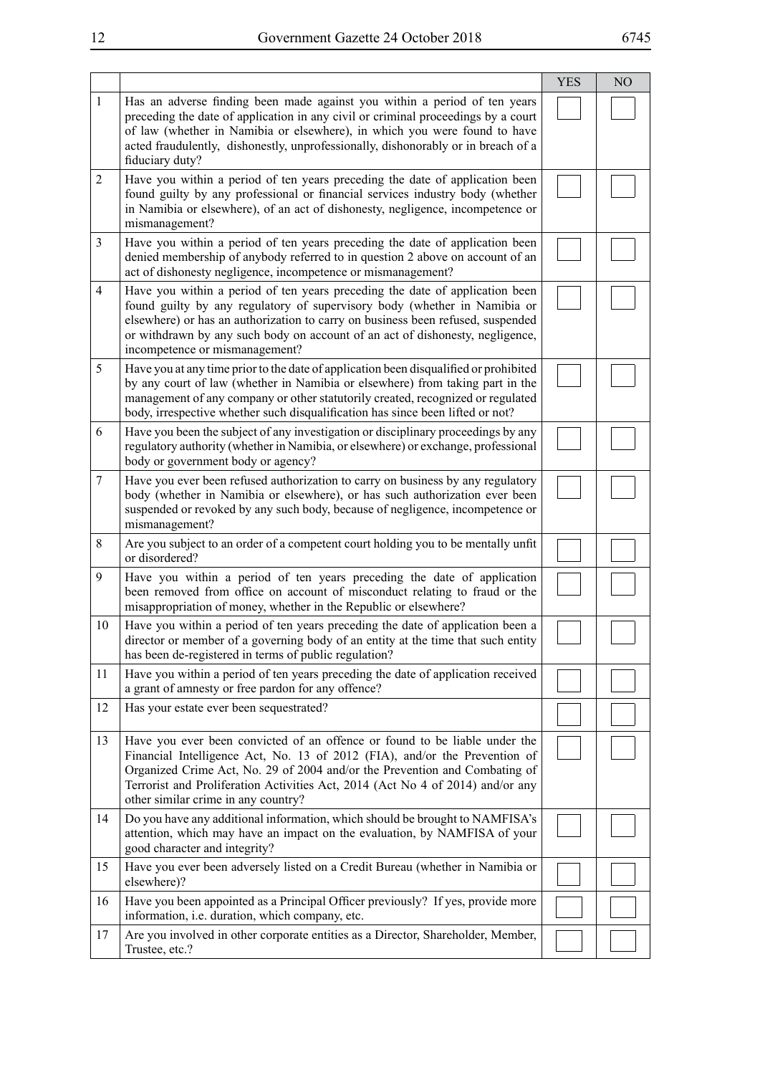|                |                                                                                                                                                                                                                                                                                                                                                                 | <b>YES</b> | N <sub>O</sub> |
|----------------|-----------------------------------------------------------------------------------------------------------------------------------------------------------------------------------------------------------------------------------------------------------------------------------------------------------------------------------------------------------------|------------|----------------|
| $\mathbf{1}$   | Has an adverse finding been made against you within a period of ten years<br>preceding the date of application in any civil or criminal proceedings by a court<br>of law (whether in Namibia or elsewhere), in which you were found to have<br>acted fraudulently, dishonestly, unprofessionally, dishonorably or in breach of a<br>fiduciary duty?             |            |                |
| 2              | Have you within a period of ten years preceding the date of application been<br>found guilty by any professional or financial services industry body (whether<br>in Namibia or elsewhere), of an act of dishonesty, negligence, incompetence or<br>mismanagement?                                                                                               |            |                |
| 3              | Have you within a period of ten years preceding the date of application been<br>denied membership of anybody referred to in question 2 above on account of an<br>act of dishonesty negligence, incompetence or mismanagement?                                                                                                                                   |            |                |
| $\overline{4}$ | Have you within a period of ten years preceding the date of application been<br>found guilty by any regulatory of supervisory body (whether in Namibia or<br>elsewhere) or has an authorization to carry on business been refused, suspended<br>or withdrawn by any such body on account of an act of dishonesty, negligence,<br>incompetence or mismanagement? |            |                |
| 5              | Have you at any time prior to the date of application been disqualified or prohibited<br>by any court of law (whether in Namibia or elsewhere) from taking part in the<br>management of any company or other statutorily created, recognized or regulated<br>body, irrespective whether such disqualification has since been lifted or not?                     |            |                |
| 6              | Have you been the subject of any investigation or disciplinary proceedings by any<br>regulatory authority (whether in Namibia, or elsewhere) or exchange, professional<br>body or government body or agency?                                                                                                                                                    |            |                |
| $\tau$         | Have you ever been refused authorization to carry on business by any regulatory<br>body (whether in Namibia or elsewhere), or has such authorization ever been<br>suspended or revoked by any such body, because of negligence, incompetence or<br>mismanagement?                                                                                               |            |                |
| 8              | Are you subject to an order of a competent court holding you to be mentally unfit<br>or disordered?                                                                                                                                                                                                                                                             |            |                |
| 9              | Have you within a period of ten years preceding the date of application<br>been removed from office on account of misconduct relating to fraud or the<br>misappropriation of money, whether in the Republic or elsewhere?                                                                                                                                       |            |                |
| 10             | Have you within a period of ten years preceding the date of application been a<br>director or member of a governing body of an entity at the time that such entity<br>has been de-registered in terms of public regulation?                                                                                                                                     |            |                |
| 11             | Have you within a period of ten years preceding the date of application received<br>a grant of amnesty or free pardon for any offence?                                                                                                                                                                                                                          |            |                |
| 12             | Has your estate ever been sequestrated?                                                                                                                                                                                                                                                                                                                         |            |                |
| 13             | Have you ever been convicted of an offence or found to be liable under the<br>Financial Intelligence Act, No. 13 of 2012 (FIA), and/or the Prevention of<br>Organized Crime Act, No. 29 of 2004 and/or the Prevention and Combating of<br>Terrorist and Proliferation Activities Act, 2014 (Act No 4 of 2014) and/or any<br>other similar crime in any country? |            |                |
| 14             | Do you have any additional information, which should be brought to NAMFISA's<br>attention, which may have an impact on the evaluation, by NAMFISA of your<br>good character and integrity?                                                                                                                                                                      |            |                |
| 15             | Have you ever been adversely listed on a Credit Bureau (whether in Namibia or<br>elsewhere)?                                                                                                                                                                                                                                                                    |            |                |
| 16             | Have you been appointed as a Principal Officer previously? If yes, provide more<br>information, i.e. duration, which company, etc.                                                                                                                                                                                                                              |            |                |
| 17             | Are you involved in other corporate entities as a Director, Shareholder, Member,<br>Trustee, etc.?                                                                                                                                                                                                                                                              |            |                |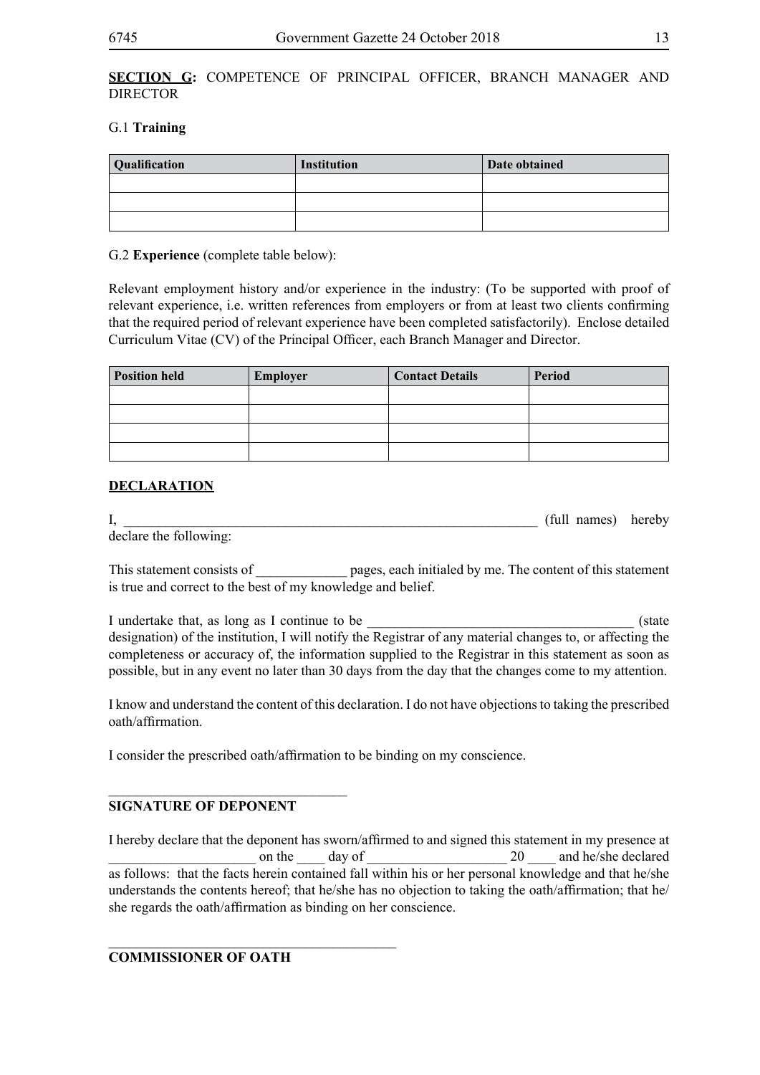## **SECTION G:** COMPETENCE OF PRINCIPAL OFFICER, BRANCH MANAGER AND **DIRECTOR**

## G.1 **Training**

| <b>Qualification</b> | Institution | Date obtained |
|----------------------|-------------|---------------|
|                      |             |               |
|                      |             |               |
|                      |             |               |

## G.2 **Experience** (complete table below):

Relevant employment history and/or experience in the industry: (To be supported with proof of relevant experience, i.e. written references from employers or from at least two clients confirming that the required period of relevant experience have been completed satisfactorily). Enclose detailed Curriculum Vitae (CV) of the Principal Officer, each Branch Manager and Director.

| <b>Position held</b> | Employer | <b>Contact Details</b> | Period |
|----------------------|----------|------------------------|--------|
|                      |          |                        |        |
|                      |          |                        |        |
|                      |          |                        |        |
|                      |          |                        |        |

## **DECLARATION**

I, the contract of the contract of the contract of the contract of the contract of the contract of the contract of the contract of the contract of the contract of the contract of the contract of the contract of the contrac declare the following:

This statement consists of **\_\_\_\_\_\_** pages, each initialed by me. The content of this statement is true and correct to the best of my knowledge and belief.

I undertake that, as long as I continue to be  $\blacksquare$ designation) of the institution, I will notify the Registrar of any material changes to, or affecting the completeness or accuracy of, the information supplied to the Registrar in this statement as soon as possible, but in any event no later than 30 days from the day that the changes come to my attention.

I know and understand the content of this declaration. I do not have objections to taking the prescribed oath/affirmation.

I consider the prescribed oath/affirmation to be binding on my conscience.

## **SIGNATURE OF DEPONENT**

\_\_\_\_\_\_\_\_\_\_\_\_\_\_\_\_\_\_\_\_\_\_\_\_\_\_\_\_\_\_\_\_\_\_

I hereby declare that the deponent has sworn/affirmed to and signed this statement in my presence at on the day of  $\frac{1}{20}$  and he/she declared as follows: that the facts herein contained fall within his or her personal knowledge and that he/she understands the contents hereof; that he/she has no objection to taking the oath/affirmation; that he/ she regards the oath/affirmation as binding on her conscience.

**COMMISSIONER OF OATH**

\_\_\_\_\_\_\_\_\_\_\_\_\_\_\_\_\_\_\_\_\_\_\_\_\_\_\_\_\_\_\_\_\_\_\_\_\_\_\_\_\_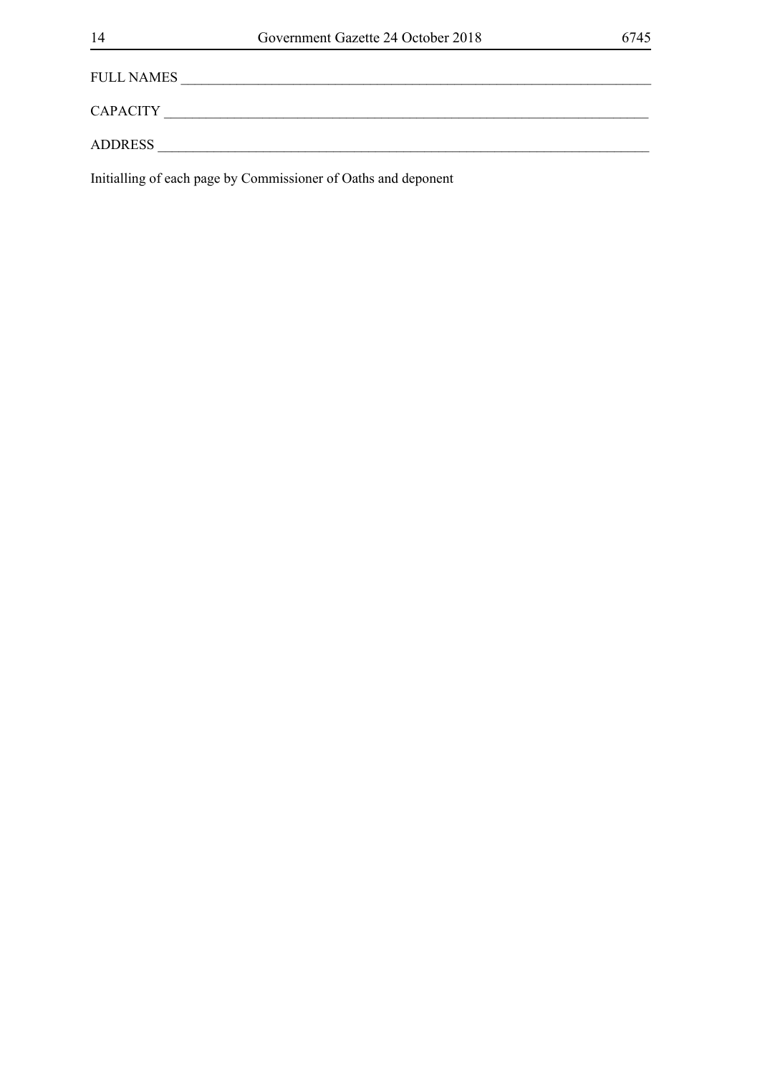FULL NAMES \_\_\_\_\_\_\_\_\_\_\_\_\_\_\_\_\_\_\_\_\_\_\_\_\_\_\_\_\_\_\_\_\_\_\_\_\_\_\_\_\_\_\_\_\_\_\_\_\_\_\_\_\_\_\_\_\_\_\_\_\_\_\_\_\_\_\_

CAPACITY \_\_\_\_\_\_\_\_\_\_\_\_\_\_\_\_\_\_\_\_\_\_\_\_\_\_\_\_\_\_\_\_\_\_\_\_\_\_\_\_\_\_\_\_\_\_\_\_\_\_\_\_\_\_\_\_\_\_\_\_\_\_\_\_\_\_\_\_\_

ADDRESS \_\_\_\_\_\_\_\_\_\_\_\_\_\_\_\_\_\_\_\_\_\_\_\_\_\_\_\_\_\_\_\_\_\_\_\_\_\_\_\_\_\_\_\_\_\_\_\_\_\_\_\_\_\_\_\_\_\_\_\_\_\_\_\_\_\_\_\_\_\_

Initialling of each page by Commissioner of Oaths and deponent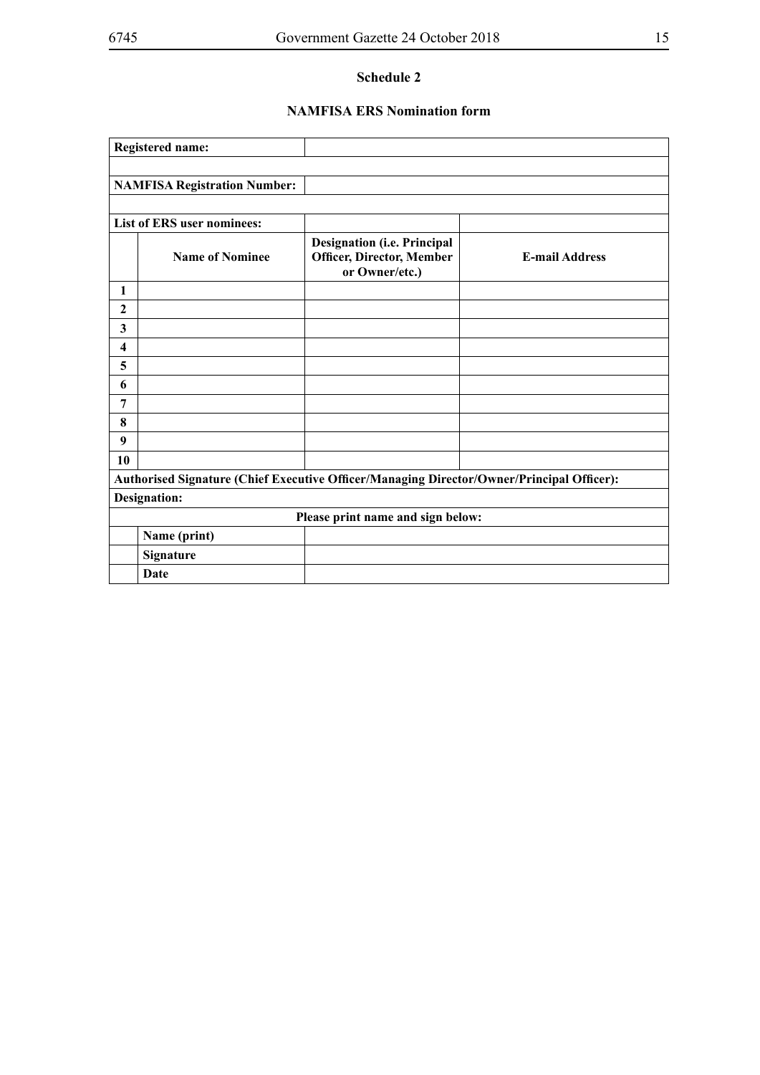## **NAMFISA ERS Nomination form**

|                                                                                           | <b>Registered name:</b>             |                                                                                          |                       |
|-------------------------------------------------------------------------------------------|-------------------------------------|------------------------------------------------------------------------------------------|-----------------------|
|                                                                                           |                                     |                                                                                          |                       |
|                                                                                           | <b>NAMFISA Registration Number:</b> |                                                                                          |                       |
|                                                                                           |                                     |                                                                                          |                       |
|                                                                                           | <b>List of ERS user nominees:</b>   |                                                                                          |                       |
|                                                                                           | <b>Name of Nominee</b>              | <b>Designation (i.e. Principal</b><br><b>Officer, Director, Member</b><br>or Owner/etc.) | <b>E-mail Address</b> |
| 1                                                                                         |                                     |                                                                                          |                       |
| 2                                                                                         |                                     |                                                                                          |                       |
| 3                                                                                         |                                     |                                                                                          |                       |
| $\overline{\mathbf{4}}$                                                                   |                                     |                                                                                          |                       |
| 5                                                                                         |                                     |                                                                                          |                       |
| 6                                                                                         |                                     |                                                                                          |                       |
| 7                                                                                         |                                     |                                                                                          |                       |
| 8                                                                                         |                                     |                                                                                          |                       |
| 9                                                                                         |                                     |                                                                                          |                       |
| 10                                                                                        |                                     |                                                                                          |                       |
| Authorised Signature (Chief Executive Officer/Managing Director/Owner/Principal Officer): |                                     |                                                                                          |                       |
| <b>Designation:</b>                                                                       |                                     |                                                                                          |                       |
| Please print name and sign below:                                                         |                                     |                                                                                          |                       |
|                                                                                           | Name (print)                        |                                                                                          |                       |
|                                                                                           | Signature                           |                                                                                          |                       |
|                                                                                           | Date                                |                                                                                          |                       |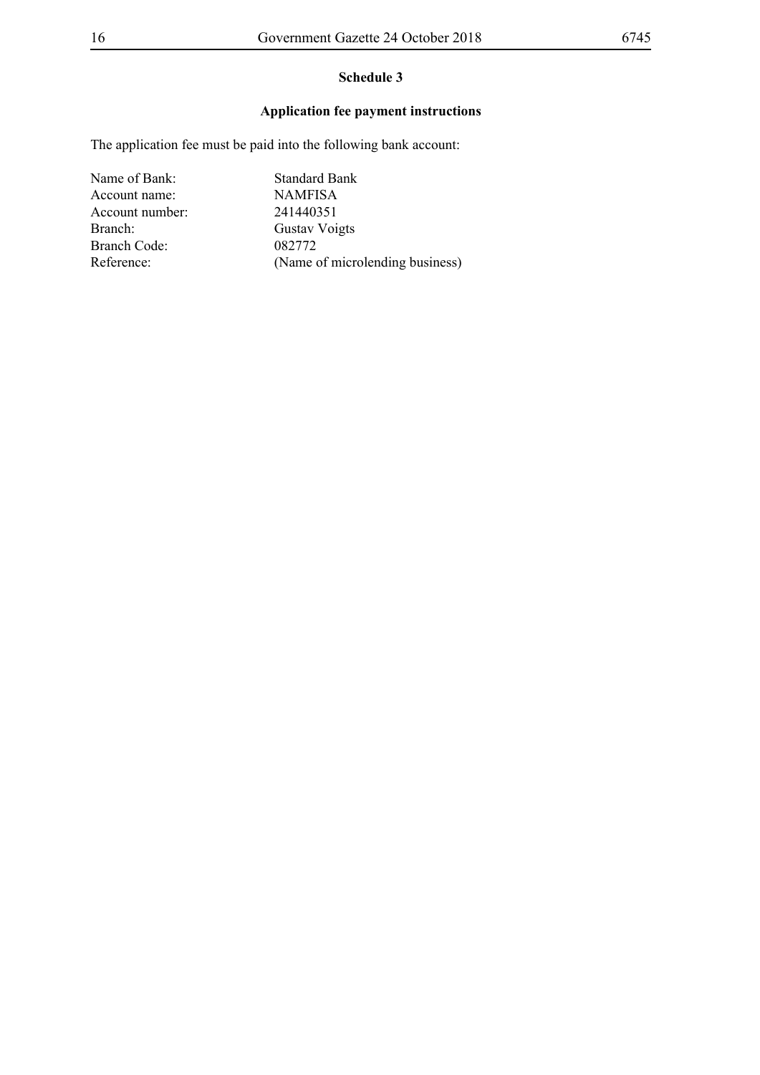## **Application fee payment instructions**

The application fee must be paid into the following bank account:

Name of Bank: Standard Bank Account name: NAMFISA Account number: 241440351 Branch: Gustav Voigts Branch Code: 082772 Reference: (Name of microlending business)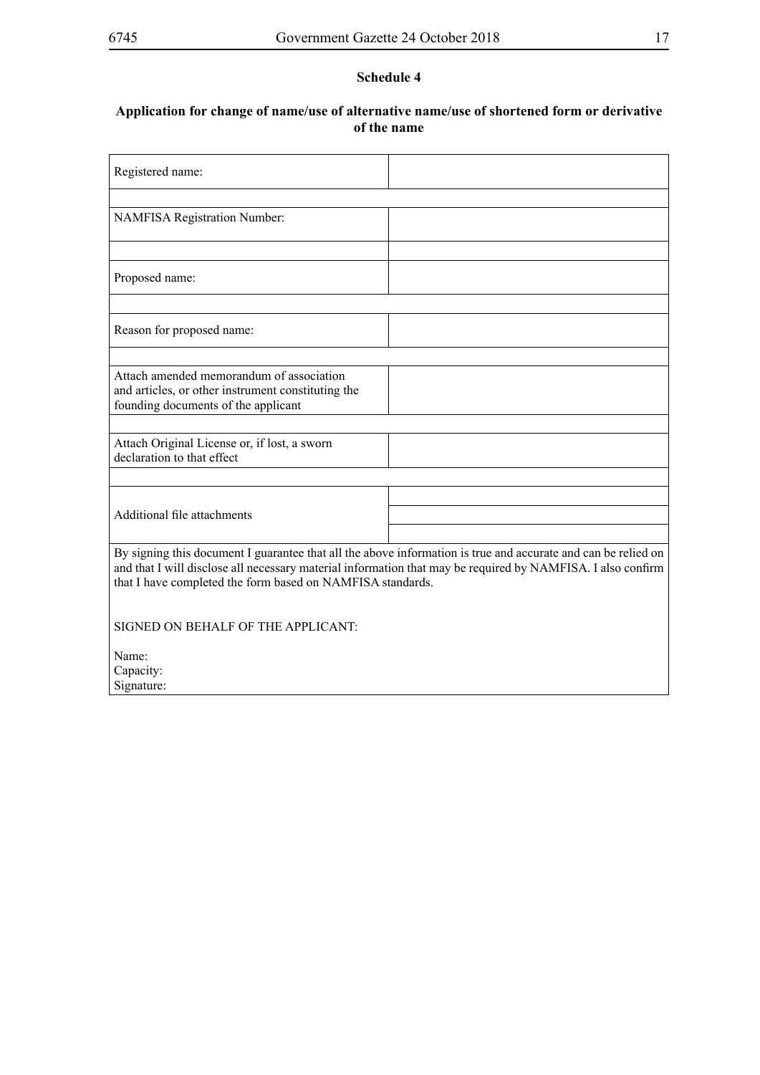## **Application for change of name/use of alternative name/use of shortened form or derivative of the name**

| Registered name:                                                                                                                                                                                                                                                                           |  |  |
|--------------------------------------------------------------------------------------------------------------------------------------------------------------------------------------------------------------------------------------------------------------------------------------------|--|--|
|                                                                                                                                                                                                                                                                                            |  |  |
| <b>NAMFISA Registration Number:</b>                                                                                                                                                                                                                                                        |  |  |
|                                                                                                                                                                                                                                                                                            |  |  |
| Proposed name:                                                                                                                                                                                                                                                                             |  |  |
|                                                                                                                                                                                                                                                                                            |  |  |
| Reason for proposed name:                                                                                                                                                                                                                                                                  |  |  |
|                                                                                                                                                                                                                                                                                            |  |  |
| Attach amended memorandum of association<br>and articles, or other instrument constituting the<br>founding documents of the applicant                                                                                                                                                      |  |  |
|                                                                                                                                                                                                                                                                                            |  |  |
| Attach Original License or, if lost, a sworn<br>declaration to that effect                                                                                                                                                                                                                 |  |  |
|                                                                                                                                                                                                                                                                                            |  |  |
|                                                                                                                                                                                                                                                                                            |  |  |
| Additional file attachments                                                                                                                                                                                                                                                                |  |  |
|                                                                                                                                                                                                                                                                                            |  |  |
| By signing this document I guarantee that all the above information is true and accurate and can be relied on<br>and that I will disclose all necessary material information that may be required by NAMFISA. I also confirm<br>that I have completed the form based on NAMFISA standards. |  |  |
| SIGNED ON BEHALF OF THE APPLICANT:                                                                                                                                                                                                                                                         |  |  |
| Name:                                                                                                                                                                                                                                                                                      |  |  |
| Capacity:                                                                                                                                                                                                                                                                                  |  |  |
| Signature:                                                                                                                                                                                                                                                                                 |  |  |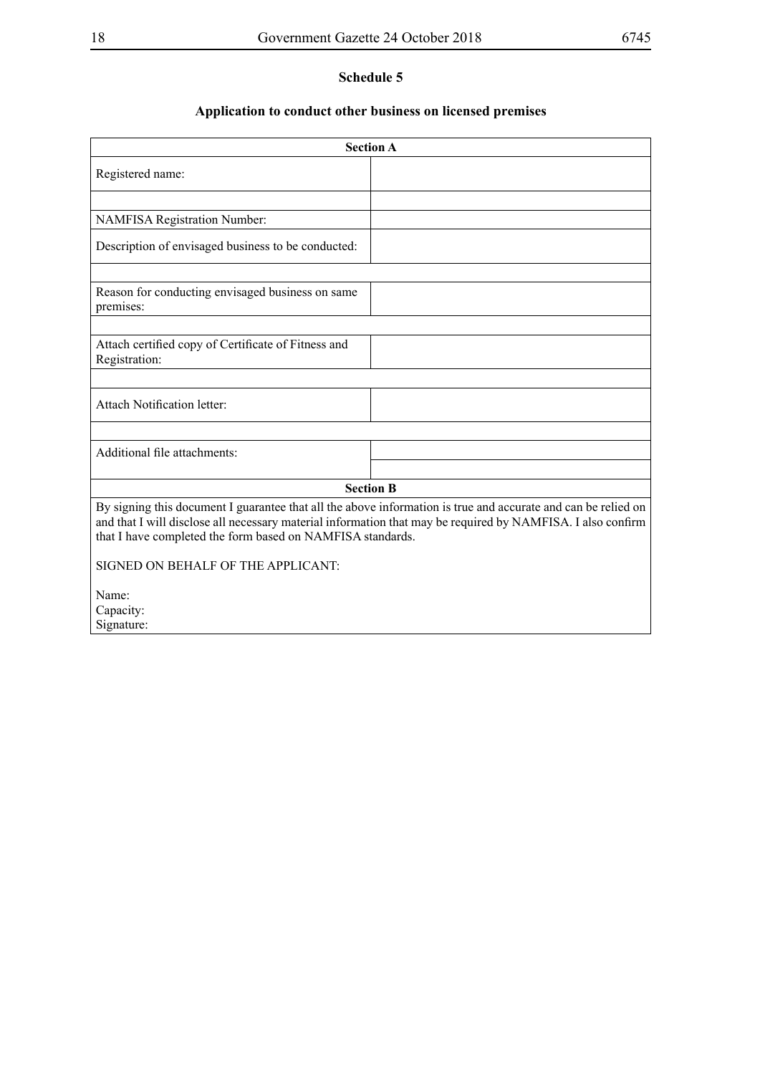## **Application to conduct other business on licensed premises**

| <b>Section A</b>                                                                                                                                                                                                                                                                           |  |  |
|--------------------------------------------------------------------------------------------------------------------------------------------------------------------------------------------------------------------------------------------------------------------------------------------|--|--|
| Registered name:                                                                                                                                                                                                                                                                           |  |  |
|                                                                                                                                                                                                                                                                                            |  |  |
| <b>NAMFISA Registration Number:</b>                                                                                                                                                                                                                                                        |  |  |
| Description of envisaged business to be conducted:                                                                                                                                                                                                                                         |  |  |
|                                                                                                                                                                                                                                                                                            |  |  |
| Reason for conducting envisaged business on same<br>premises:                                                                                                                                                                                                                              |  |  |
|                                                                                                                                                                                                                                                                                            |  |  |
| Attach certified copy of Certificate of Fitness and<br>Registration:                                                                                                                                                                                                                       |  |  |
|                                                                                                                                                                                                                                                                                            |  |  |
| <b>Attach Notification letter:</b>                                                                                                                                                                                                                                                         |  |  |
|                                                                                                                                                                                                                                                                                            |  |  |
| Additional file attachments:                                                                                                                                                                                                                                                               |  |  |
|                                                                                                                                                                                                                                                                                            |  |  |
| <b>Section B</b>                                                                                                                                                                                                                                                                           |  |  |
| By signing this document I guarantee that all the above information is true and accurate and can be relied on<br>and that I will disclose all necessary material information that may be required by NAMFISA. I also confirm<br>that I have completed the form based on NAMFISA standards. |  |  |
| SIGNED ON BEHALF OF THE APPLICANT:                                                                                                                                                                                                                                                         |  |  |
| Name:                                                                                                                                                                                                                                                                                      |  |  |
| Capacity:                                                                                                                                                                                                                                                                                  |  |  |
| Signature:                                                                                                                                                                                                                                                                                 |  |  |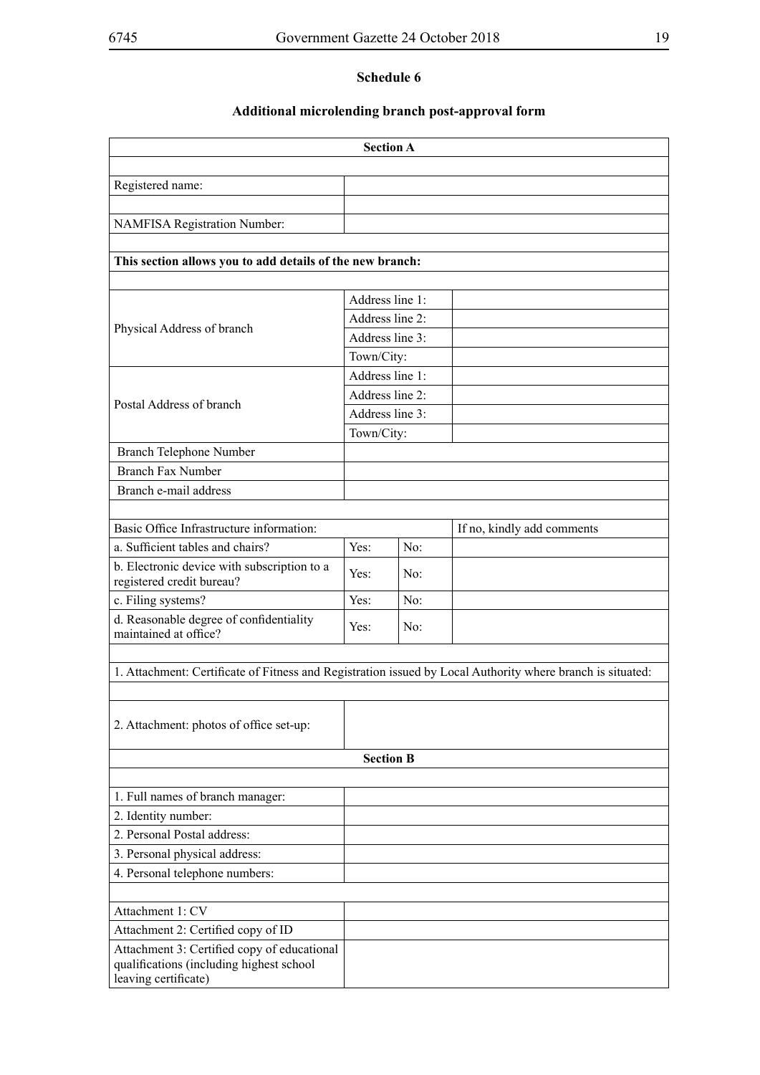## **Additional microlending branch post-approval form**

| <b>Section A</b>                                                                                                |                  |     |                            |  |
|-----------------------------------------------------------------------------------------------------------------|------------------|-----|----------------------------|--|
|                                                                                                                 |                  |     |                            |  |
| Registered name:                                                                                                |                  |     |                            |  |
|                                                                                                                 |                  |     |                            |  |
| <b>NAMFISA Registration Number:</b>                                                                             |                  |     |                            |  |
|                                                                                                                 |                  |     |                            |  |
| This section allows you to add details of the new branch:                                                       |                  |     |                            |  |
|                                                                                                                 |                  |     |                            |  |
|                                                                                                                 | Address line 1:  |     |                            |  |
| Physical Address of branch                                                                                      | Address line 2:  |     |                            |  |
|                                                                                                                 | Address line 3:  |     |                            |  |
|                                                                                                                 | Town/City:       |     |                            |  |
|                                                                                                                 | Address line 1:  |     |                            |  |
| Postal Address of branch                                                                                        | Address line 2:  |     |                            |  |
|                                                                                                                 | Address line 3:  |     |                            |  |
|                                                                                                                 | Town/City:       |     |                            |  |
| Branch Telephone Number                                                                                         |                  |     |                            |  |
| <b>Branch Fax Number</b>                                                                                        |                  |     |                            |  |
| Branch e-mail address                                                                                           |                  |     |                            |  |
|                                                                                                                 |                  |     |                            |  |
| Basic Office Infrastructure information:                                                                        |                  |     | If no, kindly add comments |  |
| a. Sufficient tables and chairs?                                                                                | Yes:             | No: |                            |  |
| b. Electronic device with subscription to a<br>registered credit bureau?                                        | Yes:             | No: |                            |  |
| c. Filing systems?                                                                                              | Yes:             | No: |                            |  |
| d. Reasonable degree of confidentiality<br>maintained at office?                                                | Yes:             | No: |                            |  |
|                                                                                                                 |                  |     |                            |  |
| 1. Attachment: Certificate of Fitness and Registration issued by Local Authority where branch is situated:      |                  |     |                            |  |
|                                                                                                                 |                  |     |                            |  |
| 2. Attachment: photos of office set-up:                                                                         |                  |     |                            |  |
|                                                                                                                 | <b>Section B</b> |     |                            |  |
|                                                                                                                 |                  |     |                            |  |
| 1. Full names of branch manager:                                                                                |                  |     |                            |  |
| 2. Identity number:                                                                                             |                  |     |                            |  |
| 2. Personal Postal address:                                                                                     |                  |     |                            |  |
| 3. Personal physical address:                                                                                   |                  |     |                            |  |
| 4. Personal telephone numbers:                                                                                  |                  |     |                            |  |
|                                                                                                                 |                  |     |                            |  |
| Attachment 1: CV                                                                                                |                  |     |                            |  |
| Attachment 2: Certified copy of ID                                                                              |                  |     |                            |  |
| Attachment 3: Certified copy of educational<br>qualifications (including highest school<br>leaving certificate) |                  |     |                            |  |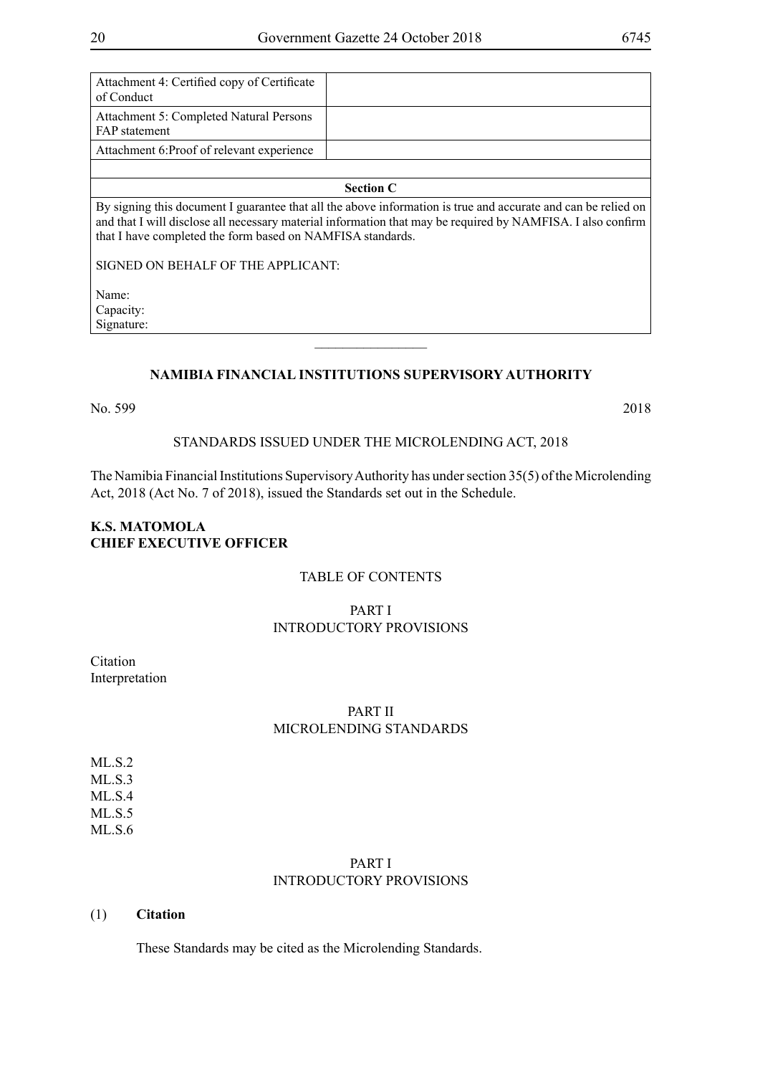| Attachment 4: Certified copy of Certificate<br>of Conduct       |                                                                                                                                                                                                                              |
|-----------------------------------------------------------------|------------------------------------------------------------------------------------------------------------------------------------------------------------------------------------------------------------------------------|
| Attachment 5: Completed Natural Persons<br><b>FAP</b> statement |                                                                                                                                                                                                                              |
| Attachment 6: Proof of relevant experience                      |                                                                                                                                                                                                                              |
|                                                                 |                                                                                                                                                                                                                              |
|                                                                 | <b>Section C</b>                                                                                                                                                                                                             |
| that I have completed the form based on NAMFISA standards.      | By signing this document I guarantee that all the above information is true and accurate and can be relied on<br>and that I will disclose all necessary material information that may be required by NAMFISA. I also confirm |
| SIGNED ON BEHALF OF THE APPLICANT:                              |                                                                                                                                                                                                                              |
| Name:                                                           |                                                                                                                                                                                                                              |
| Capacity:                                                       |                                                                                                                                                                                                                              |
| Signature:                                                      |                                                                                                                                                                                                                              |

## **NAMIBIA FINANCIAL INSTITUTIONS SUPERVISORY AUTHORITY**

 $\frac{1}{2}$ 

No. 599 2018

#### STANDARDS ISSUED UNDER THE MICROLENDING ACT, 2018

The Namibia Financial Institutions Supervisory Authority has under section 35(5) of the Microlending Act, 2018 (Act No. 7 of 2018), issued the Standards set out in the Schedule.

## **K.S. MATOMOLA CHIEF EXECUTIVE OFFICER**

#### TABLE OF CONTENTS

## PART I INTRODUCTORY PROVISIONS

Citation Interpretation

## PART II MICROLENDING STANDARDS

ML.S.2 ML.S.3 ML.S.4 ML.S.5 ML.S.6

## PART I INTRODUCTORY PROVISIONS

#### (1) **Citation**

These Standards may be cited as the Microlending Standards.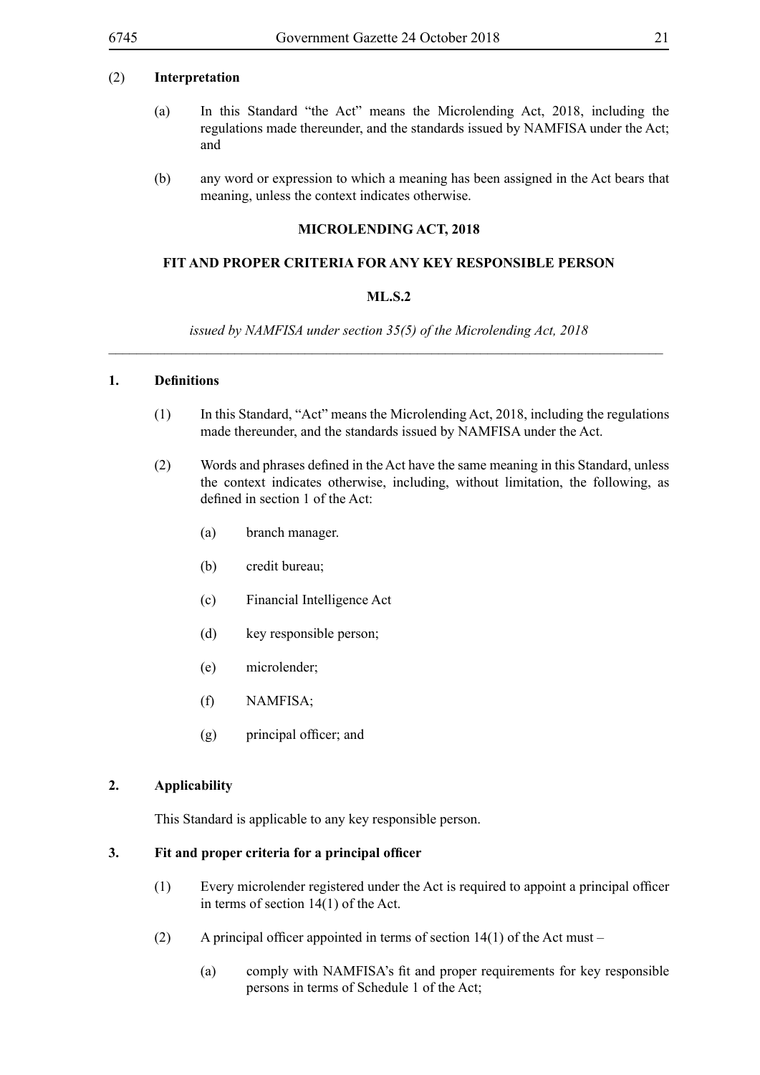#### (2) **Interpretation**

- (a) In this Standard "the Act" means the Microlending Act, 2018, including the regulations made thereunder, and the standards issued by NAMFISA under the Act; and
- (b) any word or expression to which a meaning has been assigned in the Act bears that meaning, unless the context indicates otherwise.

#### **MICROLENDING ACT, 2018**

#### **FIT AND PROPER CRITERIA FOR ANY KEY RESPONSIBLE PERSON**

#### **ML.S.2**

*issued by NAMFISA under section 35(5) of the Microlending Act, 2018 \_\_\_\_\_\_\_\_\_\_\_\_\_\_\_\_\_\_\_\_\_\_\_\_\_\_\_\_\_\_\_\_\_\_\_\_\_\_\_\_\_\_\_\_\_\_\_\_\_\_\_\_\_\_\_\_\_\_\_\_\_\_\_\_\_\_\_\_\_\_\_\_\_\_\_\_\_\_\_*

## **1. Definitions**

- (1) In this Standard, "Act" means the Microlending Act, 2018, including the regulations made thereunder, and the standards issued by NAMFISA under the Act.
- (2) Words and phrases defined in the Act have the same meaning in this Standard, unless the context indicates otherwise, including, without limitation, the following, as defined in section 1 of the Act:
	- (a) branch manager.
	- (b) credit bureau;
	- (c) Financial Intelligence Act
	- (d) key responsible person;
	- (e) microlender;
	- (f) NAMFISA;
	- (g) principal officer; and

#### **2. Applicability**

This Standard is applicable to any key responsible person.

#### **3. Fit and proper criteria for a principal officer**

- (1) Every microlender registered under the Act is required to appoint a principal officer in terms of section 14(1) of the Act.
- (2) A principal officer appointed in terms of section  $14(1)$  of the Act must
	- (a) comply with NAMFISA's fit and proper requirements for key responsible persons in terms of Schedule 1 of the Act;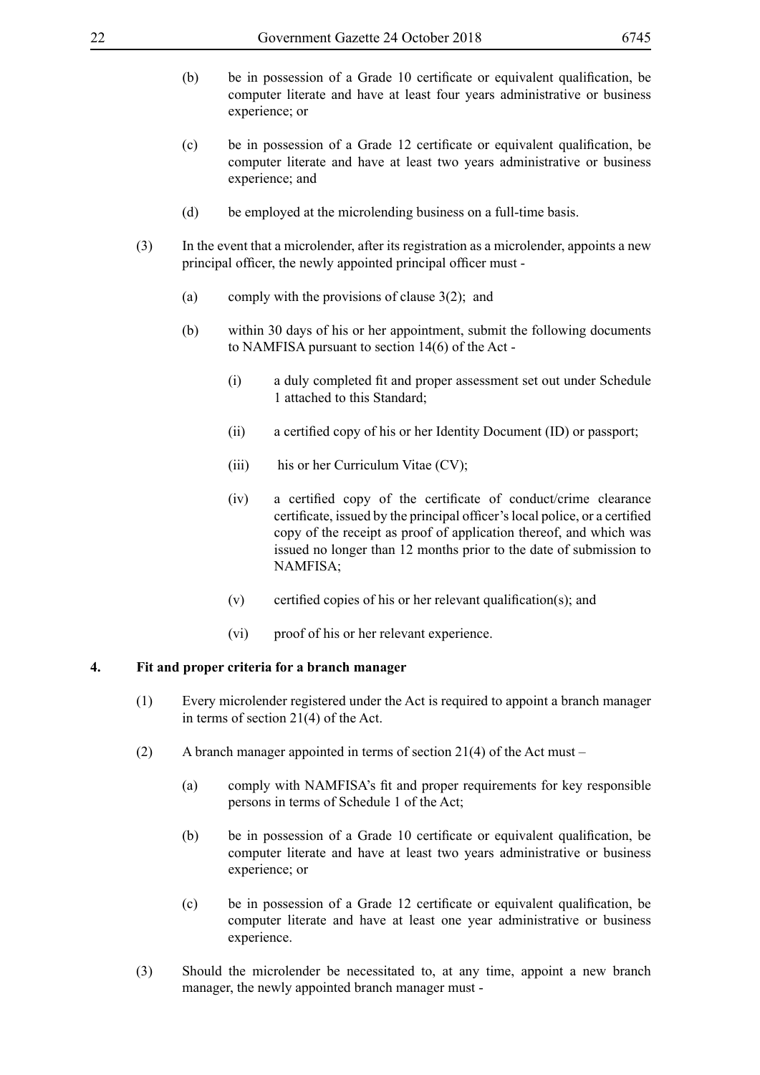- (b) be in possession of a Grade 10 certificate or equivalent qualification, be computer literate and have at least four years administrative or business experience; or
- (c) be in possession of a Grade 12 certificate or equivalent qualification, be computer literate and have at least two years administrative or business experience; and
- (d) be employed at the microlending business on a full-time basis.
- (3) In the event that a microlender, after its registration as a microlender, appoints a new principal officer, the newly appointed principal officer must -
	- (a) comply with the provisions of clause 3(2); and
	- (b) within 30 days of his or her appointment, submit the following documents to NAMFISA pursuant to section 14(6) of the Act -
		- (i) a duly completed fit and proper assessment set out under Schedule 1 attached to this Standard;
		- (ii) a certified copy of his or her Identity Document (ID) or passport;
		- (iii) his or her Curriculum Vitae  $(CV)$ ;
		- (iv) a certified copy of the certificate of conduct/crime clearance certificate, issued by the principal officer'slocal police, or a certified copy of the receipt as proof of application thereof, and which was issued no longer than 12 months prior to the date of submission to NAMFISA;
		- $(v)$  certified copies of his or her relevant qualification(s); and
		- (vi) proof of his or her relevant experience.

## **4. Fit and proper criteria for a branch manager**

- (1) Every microlender registered under the Act is required to appoint a branch manager in terms of section 21(4) of the Act.
- (2) A branch manager appointed in terms of section 21(4) of the Act must
	- (a) comply with NAMFISA's fit and proper requirements for key responsible persons in terms of Schedule 1 of the Act;
	- (b) be in possession of a Grade 10 certificate or equivalent qualification, be computer literate and have at least two years administrative or business experience; or
	- (c) be in possession of a Grade 12 certificate or equivalent qualification, be computer literate and have at least one year administrative or business experience.
- (3) Should the microlender be necessitated to, at any time, appoint a new branch manager, the newly appointed branch manager must -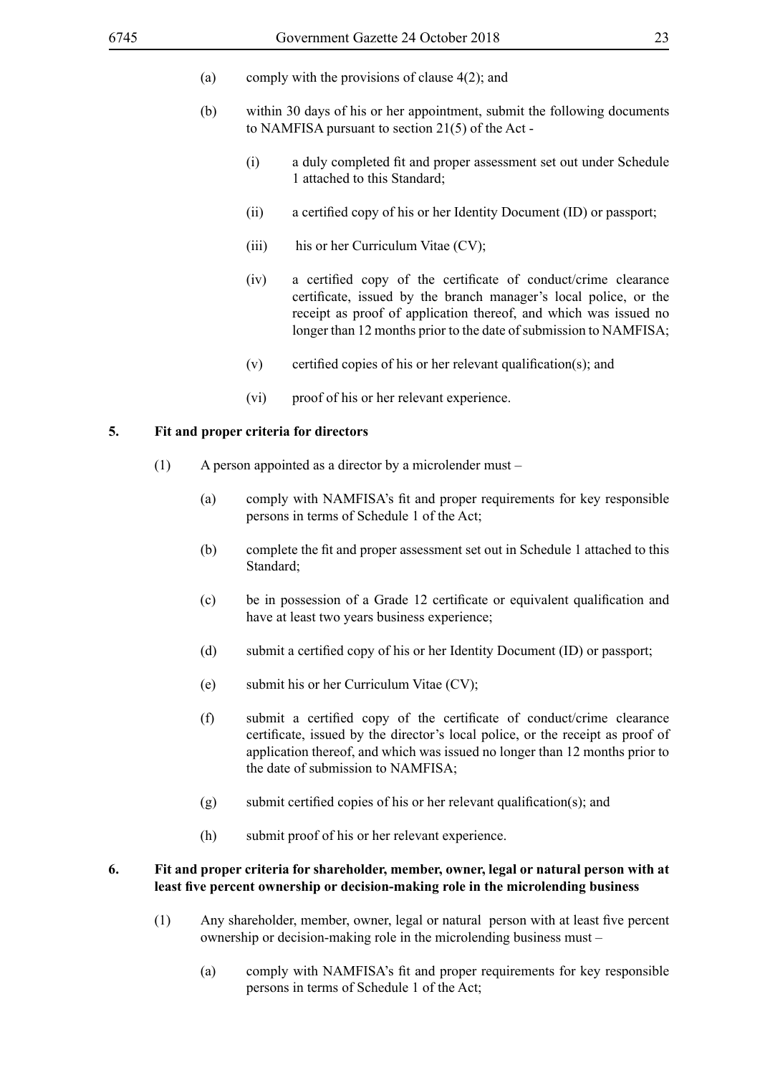- (a) comply with the provisions of clause 4(2); and
- (b) within 30 days of his or her appointment, submit the following documents to NAMFISA pursuant to section 21(5) of the Act -
	- (i) a duly completed fit and proper assessment set out under Schedule 1 attached to this Standard;
	- (ii) a certified copy of his or her Identity Document (ID) or passport;
	- (iii) his or her Curriculum Vitae (CV);
	- (iv) a certified copy of the certificate of conduct/crime clearance certificate, issued by the branch manager's local police, or the receipt as proof of application thereof, and which was issued no longer than 12 months prior to the date of submission to NAMFISA;
	- $(v)$  certified copies of his or her relevant qualification(s); and
	- (vi) proof of his or her relevant experience.

#### **5. Fit and proper criteria for directors**

- (1) A person appointed as a director by a microlender must
	- (a) comply with NAMFISA's fit and proper requirements for key responsible persons in terms of Schedule 1 of the Act;
	- (b) complete the fit and proper assessment set out in Schedule 1 attached to this Standard;
	- (c) be in possession of a Grade 12 certificate or equivalent qualification and have at least two years business experience;
	- (d) submit a certified copy of his or her Identity Document (ID) or passport;
	- (e) submit his or her Curriculum Vitae (CV);
	- (f) submit a certified copy of the certificate of conduct/crime clearance certificate, issued by the director's local police, or the receipt as proof of application thereof, and which was issued no longer than 12 months prior to the date of submission to NAMFISA;
	- $(g)$  submit certified copies of his or her relevant qualification(s); and
	- (h) submit proof of his or her relevant experience.

#### **6. Fit and proper criteria for shareholder, member, owner, legal or natural person with at least five percent ownership or decision-making role in the microlending business**

- (1) Any shareholder, member, owner, legal or natural person with at least five percent ownership or decision-making role in the microlending business must –
	- (a) comply with NAMFISA's fit and proper requirements for key responsible persons in terms of Schedule 1 of the Act;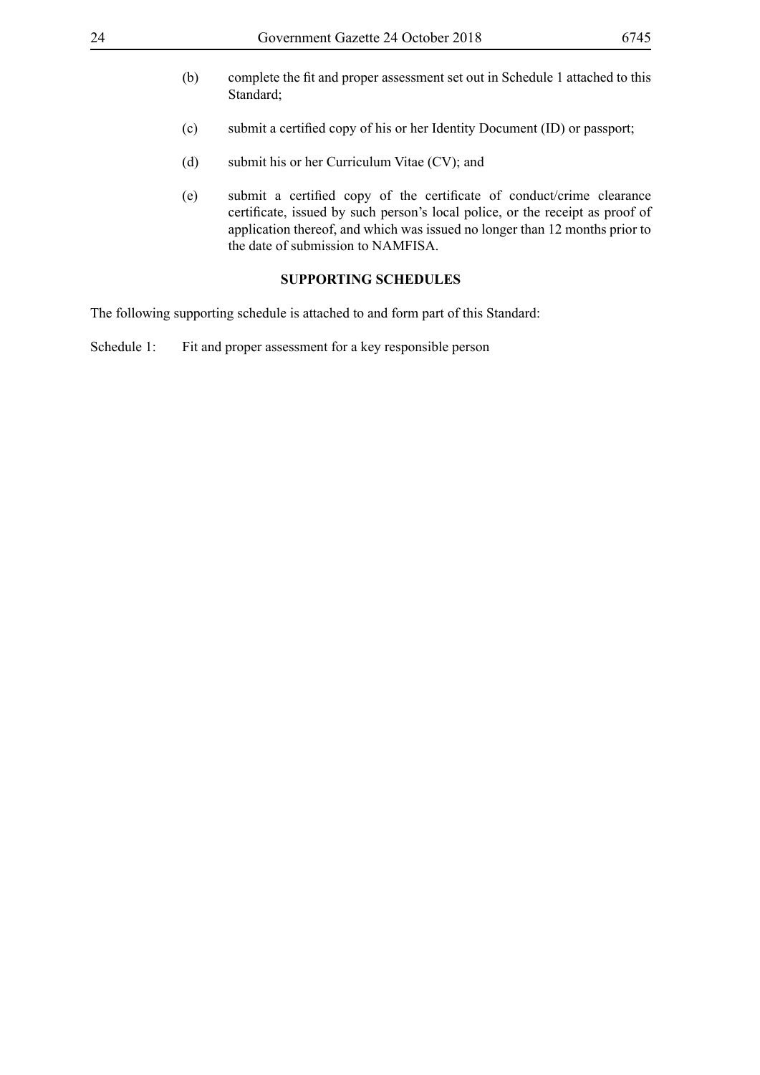- (b) complete the fit and proper assessment set out in Schedule 1 attached to this Standard:
- (c) submit a certified copy of his or her Identity Document (ID) or passport;
- (d) submit his or her Curriculum Vitae (CV); and
- (e) submit a certified copy of the certificate of conduct/crime clearance certificate, issued by such person's local police, or the receipt as proof of application thereof, and which was issued no longer than 12 months prior to the date of submission to NAMFISA.

#### **SUPPORTING SCHEDULES**

The following supporting schedule is attached to and form part of this Standard:

Schedule 1: Fit and proper assessment for a key responsible person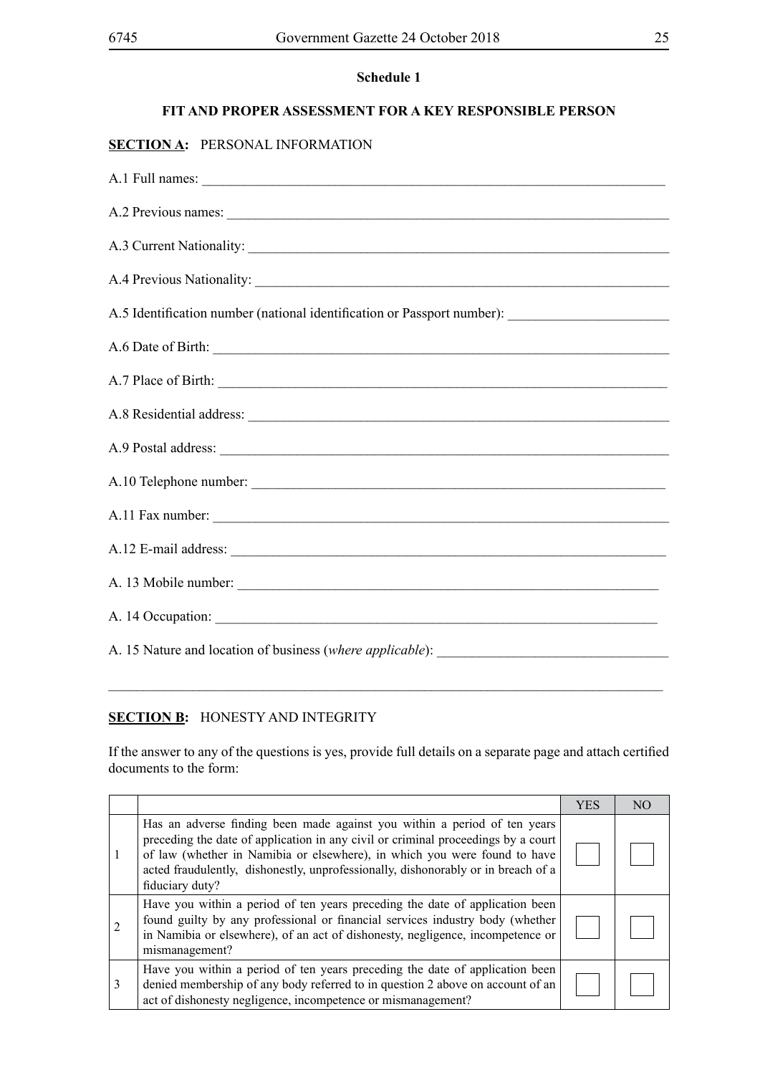## **FIT AND PROPER ASSESSMENT FOR A KEY RESPONSIBLE PERSON**

## **SECTION A:** PERSONAL INFORMATION

| A.3 Current Nationality:                                                                            |
|-----------------------------------------------------------------------------------------------------|
|                                                                                                     |
| A.5 Identification number (national identification or Passport number): ___________________________ |
| A.6 Date of Birth: 2008 Contract and the Second State of Birth:                                     |
| A.7 Place of Birth:                                                                                 |
|                                                                                                     |
|                                                                                                     |
| A.10 Telephone number:                                                                              |
| A.11 Fax number:                                                                                    |
|                                                                                                     |
|                                                                                                     |
| A. 14 Occupation:                                                                                   |
|                                                                                                     |

#### **SECTION B:** HONESTY AND INTEGRITY

If the answer to any of the questions is yes, provide full details on a separate page and attach certified documents to the form:

 $\_$ 

|   |                                                                                                                                                                                                                                                                                                                                                     | <b>YES</b> | N() |
|---|-----------------------------------------------------------------------------------------------------------------------------------------------------------------------------------------------------------------------------------------------------------------------------------------------------------------------------------------------------|------------|-----|
| 1 | Has an adverse finding been made against you within a period of ten years<br>preceding the date of application in any civil or criminal proceedings by a court<br>of law (whether in Namibia or elsewhere), in which you were found to have<br>acted fraudulently, dishonestly, unprofessionally, dishonorably or in breach of a<br>fiduciary duty? |            |     |
|   | Have you within a period of ten years preceding the date of application been<br>found guilty by any professional or financial services industry body (whether<br>in Namibia or elsewhere), of an act of dishonesty, negligence, incompetence or<br>mismanagement?                                                                                   |            |     |
| 3 | Have you within a period of ten years preceding the date of application been<br>denied membership of any body referred to in question 2 above on account of an<br>act of dishonesty negligence, incompetence or mismanagement?                                                                                                                      |            |     |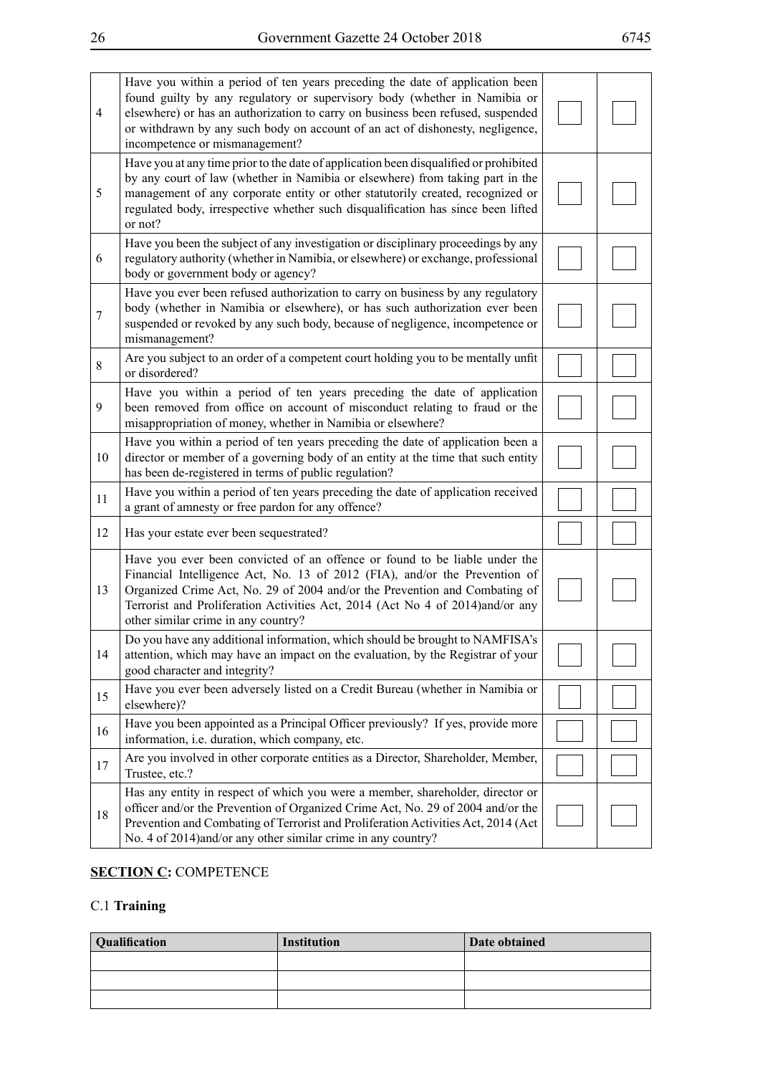| $\overline{4}$ | Have you within a period of ten years preceding the date of application been<br>found guilty by any regulatory or supervisory body (whether in Namibia or<br>elsewhere) or has an authorization to carry on business been refused, suspended<br>or withdrawn by any such body on account of an act of dishonesty, negligence,<br>incompetence or mismanagement? |  |
|----------------|-----------------------------------------------------------------------------------------------------------------------------------------------------------------------------------------------------------------------------------------------------------------------------------------------------------------------------------------------------------------|--|
| 5              | Have you at any time prior to the date of application been disqualified or prohibited<br>by any court of law (whether in Namibia or elsewhere) from taking part in the<br>management of any corporate entity or other statutorily created, recognized or<br>regulated body, irrespective whether such disqualification has since been lifted<br>or not?         |  |
| -6             | Have you been the subject of any investigation or disciplinary proceedings by any<br>regulatory authority (whether in Namibia, or elsewhere) or exchange, professional<br>body or government body or agency?                                                                                                                                                    |  |
| 7              | Have you ever been refused authorization to carry on business by any regulatory<br>body (whether in Namibia or elsewhere), or has such authorization ever been<br>suspended or revoked by any such body, because of negligence, incompetence or<br>mismanagement?                                                                                               |  |
| 8              | Are you subject to an order of a competent court holding you to be mentally unfit<br>or disordered?                                                                                                                                                                                                                                                             |  |
| 9              | Have you within a period of ten years preceding the date of application<br>been removed from office on account of misconduct relating to fraud or the<br>misappropriation of money, whether in Namibia or elsewhere?                                                                                                                                            |  |
| 10             | Have you within a period of ten years preceding the date of application been a<br>director or member of a governing body of an entity at the time that such entity<br>has been de-registered in terms of public regulation?                                                                                                                                     |  |
| 11             | Have you within a period of ten years preceding the date of application received<br>a grant of amnesty or free pardon for any offence?                                                                                                                                                                                                                          |  |
| 12             | Has your estate ever been sequestrated?                                                                                                                                                                                                                                                                                                                         |  |
| 13             | Have you ever been convicted of an offence or found to be liable under the<br>Financial Intelligence Act, No. 13 of 2012 (FIA), and/or the Prevention of<br>Organized Crime Act, No. 29 of 2004 and/or the Prevention and Combating of<br>Terrorist and Proliferation Activities Act, 2014 (Act No 4 of 2014)and/or any<br>other similar crime in any country?  |  |
| 14             | Do you have any additional information, which should be brought to NAMFISA's<br>attention, which may have an impact on the evaluation, by the Registrar of your<br>good character and integrity?                                                                                                                                                                |  |
| 15             | Have you ever been adversely listed on a Credit Bureau (whether in Namibia or<br>elsewhere)?                                                                                                                                                                                                                                                                    |  |
| 16             | Have you been appointed as a Principal Officer previously? If yes, provide more<br>information, i.e. duration, which company, etc.                                                                                                                                                                                                                              |  |
| 17             | Are you involved in other corporate entities as a Director, Shareholder, Member,<br>Trustee, etc.?                                                                                                                                                                                                                                                              |  |
| 18             | Has any entity in respect of which you were a member, shareholder, director or<br>officer and/or the Prevention of Organized Crime Act, No. 29 of 2004 and/or the<br>Prevention and Combating of Terrorist and Proliferation Activities Act, 2014 (Act<br>No. 4 of 2014) and/or any other similar crime in any country?                                         |  |

## **SECTION C: COMPETENCE**

## C.1 **Training**

| <b>Qualification</b> | Institution | Date obtained |
|----------------------|-------------|---------------|
|                      |             |               |
|                      |             |               |
|                      |             |               |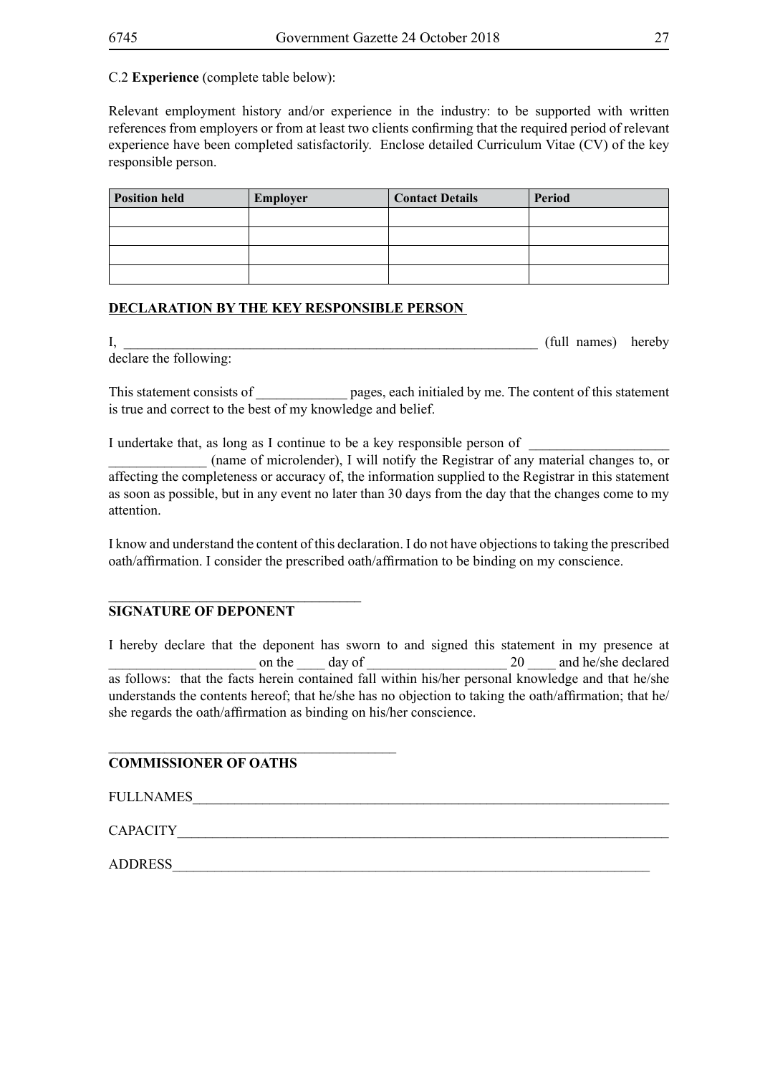## C.2 **Experience** (complete table below):

Relevant employment history and/or experience in the industry: to be supported with written references from employers or from at least two clients confirming that the required period of relevant experience have been completed satisfactorily. Enclose detailed Curriculum Vitae (CV) of the key responsible person.

| <b>Position held</b> | Employer | <b>Contact Details</b> | Period |
|----------------------|----------|------------------------|--------|
|                      |          |                        |        |
|                      |          |                        |        |
|                      |          |                        |        |
|                      |          |                        |        |

## **DECLARATION BY THE KEY RESPONSIBLE PERSON**

I, the contract of the contract of the contract of the contract of the contract of the contract of the contract of the contract of the contract of the contract of the contract of the contract of the contract of the contrac declare the following:

This statement consists of \_\_\_\_\_\_\_\_\_\_\_\_\_\_ pages, each initialed by me. The content of this statement is true and correct to the best of my knowledge and belief.

I undertake that, as long as I continue to be a key responsible person of

\_\_\_\_\_\_\_\_\_\_\_\_\_\_ (name of microlender), I will notify the Registrar of any material changes to, or affecting the completeness or accuracy of, the information supplied to the Registrar in this statement as soon as possible, but in any event no later than 30 days from the day that the changes come to my attention.

I know and understand the content of this declaration. I do not have objections to taking the prescribed oath/affirmation. I consider the prescribed oath/affirmation to be binding on my conscience.

## **SIGNATURE OF DEPONENT**

\_\_\_\_\_\_\_\_\_\_\_\_\_\_\_\_\_\_\_\_\_\_\_\_\_\_\_\_\_\_\_\_\_\_\_\_

\_\_\_\_\_\_\_\_\_\_\_\_\_\_\_\_\_\_\_\_\_\_\_\_\_\_\_\_\_\_\_\_\_\_\_\_\_\_\_\_\_

I hereby declare that the deponent has sworn to and signed this statement in my presence at on the day of  $\frac{20}{\frac{1}{20}}$  and he/she declared as follows: that the facts herein contained fall within his/her personal knowledge and that he/she understands the contents hereof; that he/she has no objection to taking the oath/affirmation; that he/ she regards the oath/affirmation as binding on his/her conscience.

## **COMMISSIONER OF OATHS**

FULL NAMES

CAPACITY THE CONSTRUCT OF THE CONSTRUCTION OF THE CONSTRUCTION OF THE CONSTRUCTION OF THE CONSTRUCTION OF THE CONSTRUCTION OF THE CONSTRUCTION OF THE CONSTRUCTION OF THE CONSTRUCTION OF THE CONSTRUCTION OF THE CONSTRUCTION

ADDRESS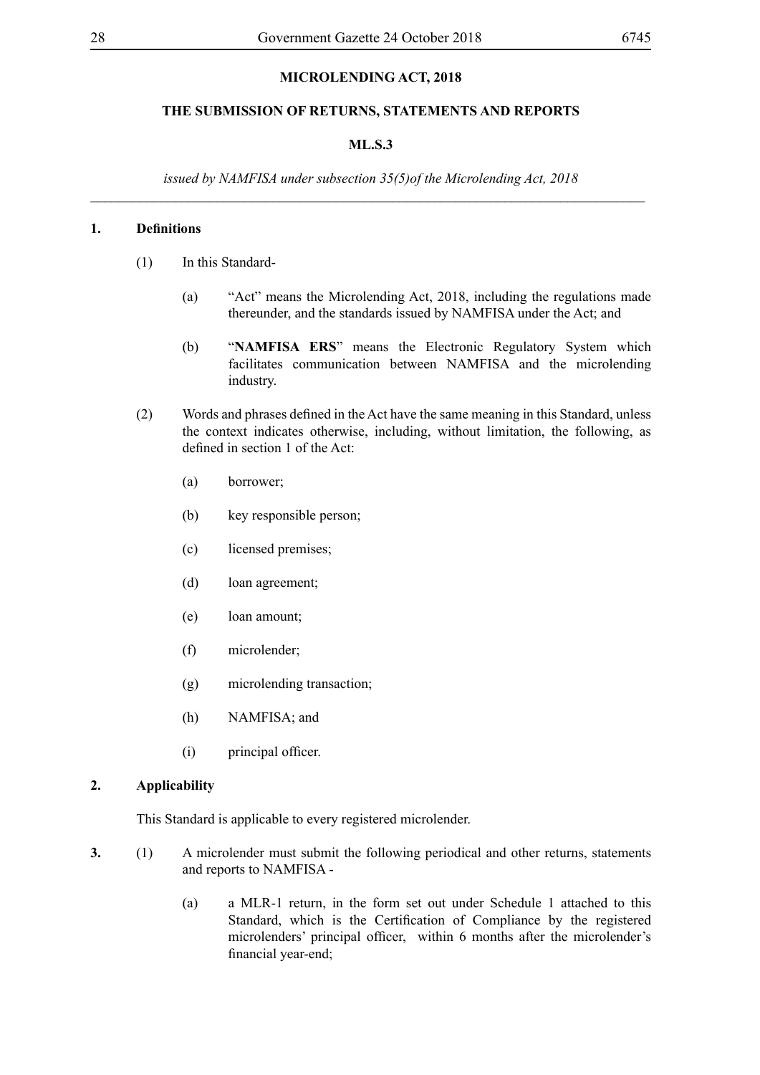## **MICROLENDING ACT, 2018**

#### **THE SUBMISSION OF RETURNS, STATEMENTS AND REPORTS**

#### **ML.S.3**

*issued by NAMFISA under subsection 35(5)of the Microlending Act, 2018 \_\_\_\_\_\_\_\_\_\_\_\_\_\_\_\_\_\_\_\_\_\_\_\_\_\_\_\_\_\_\_\_\_\_\_\_\_\_\_\_\_\_\_\_\_\_\_\_\_\_\_\_\_\_\_\_\_\_\_\_\_\_\_\_\_\_\_\_\_\_\_\_\_\_\_\_\_\_\_*

#### **1. Definitions**

- (1) In this Standard-
	- (a) "Act" means the Microlending Act, 2018, including the regulations made thereunder, and the standards issued by NAMFISA under the Act; and
	- (b) "**NAMFISA ERS**" means the Electronic Regulatory System which facilitates communication between NAMFISA and the microlending industry.
- (2) Words and phrases defined in the Act have the same meaning in this Standard, unless the context indicates otherwise, including, without limitation, the following, as defined in section 1 of the Act:
	- (a) borrower;
	- (b) key responsible person;
	- (c) licensed premises;
	- (d) loan agreement;
	- (e) loan amount;
	- (f) microlender;
	- (g) microlending transaction;
	- (h) NAMFISA; and
	- (i) principal officer.

#### **2. Applicability**

This Standard is applicable to every registered microlender.

- **3.** (1) A microlender must submit the following periodical and other returns, statements and reports to NAMFISA -
	- (a) a MLR-1 return, in the form set out under Schedule 1 attached to this Standard, which is the Certification of Compliance by the registered microlenders' principal officer, within 6 months after the microlender's financial year-end;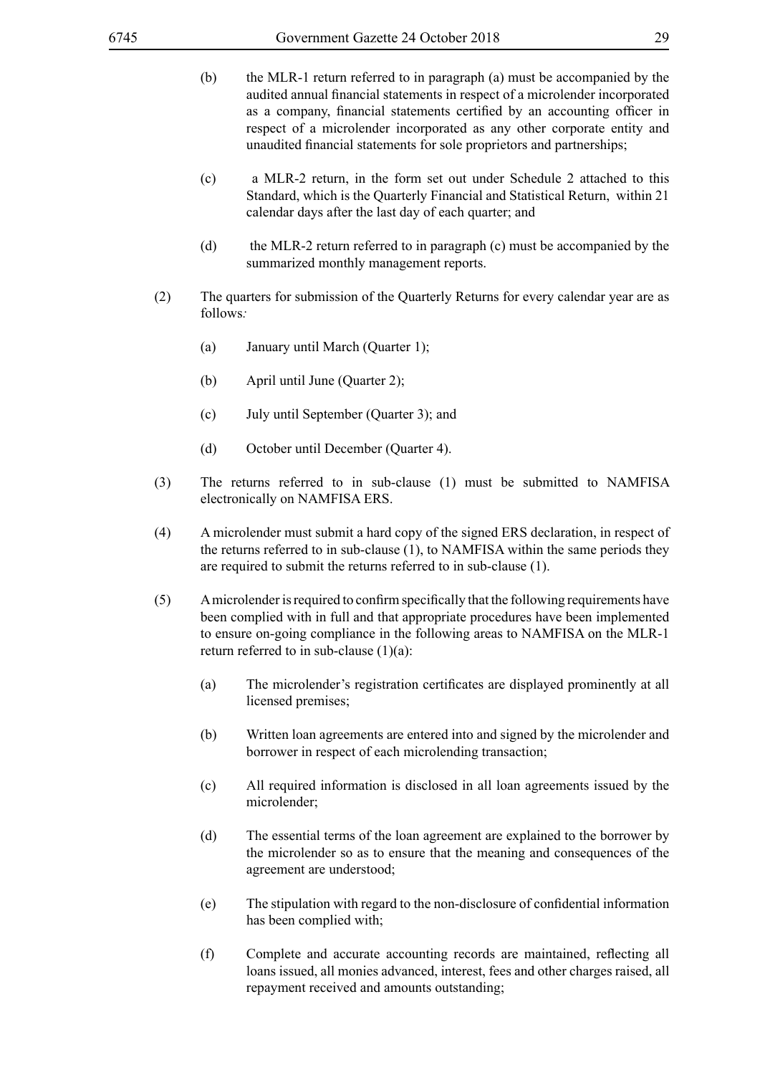- (b) the MLR-1 return referred to in paragraph (a) must be accompanied by the audited annual financial statements in respect of a microlender incorporated as a company, financial statements certified by an accounting officer in respect of a microlender incorporated as any other corporate entity and unaudited financial statements for sole proprietors and partnerships;
- (c) a MLR-2 return, in the form set out under Schedule 2 attached to this Standard, which is the Quarterly Financial and Statistical Return, within 21 calendar days after the last day of each quarter; and
- (d) the MLR-2 return referred to in paragraph (c) must be accompanied by the summarized monthly management reports.
- (2) The quarters for submission of the Quarterly Returns for every calendar year are as follows*:*
	- (a) January until March (Quarter 1);
	- (b) April until June (Quarter 2);
	- (c) July until September (Quarter 3); and
	- (d) October until December (Quarter 4).
- (3) The returns referred to in sub-clause (1) must be submitted to NAMFISA electronically on NAMFISA ERS.
- (4) A microlender must submit a hard copy of the signed ERS declaration, in respect of the returns referred to in sub-clause (1), to NAMFISA within the same periods they are required to submit the returns referred to in sub-clause (1).
- (5) Amicrolender is required to confirm specifically that the following requirements have been complied with in full and that appropriate procedures have been implemented to ensure on-going compliance in the following areas to NAMFISA on the MLR-1 return referred to in sub-clause  $(1)(a)$ :
	- (a) The microlender's registration certificates are displayed prominently at all licensed premises;
	- (b) Written loan agreements are entered into and signed by the microlender and borrower in respect of each microlending transaction;
	- (c) All required information is disclosed in all loan agreements issued by the microlender;
	- (d) The essential terms of the loan agreement are explained to the borrower by the microlender so as to ensure that the meaning and consequences of the agreement are understood;
	- (e) The stipulation with regard to the non-disclosure of confidential information has been complied with;
	- (f) Complete and accurate accounting records are maintained, reflecting all loans issued, all monies advanced, interest, fees and other charges raised, all repayment received and amounts outstanding;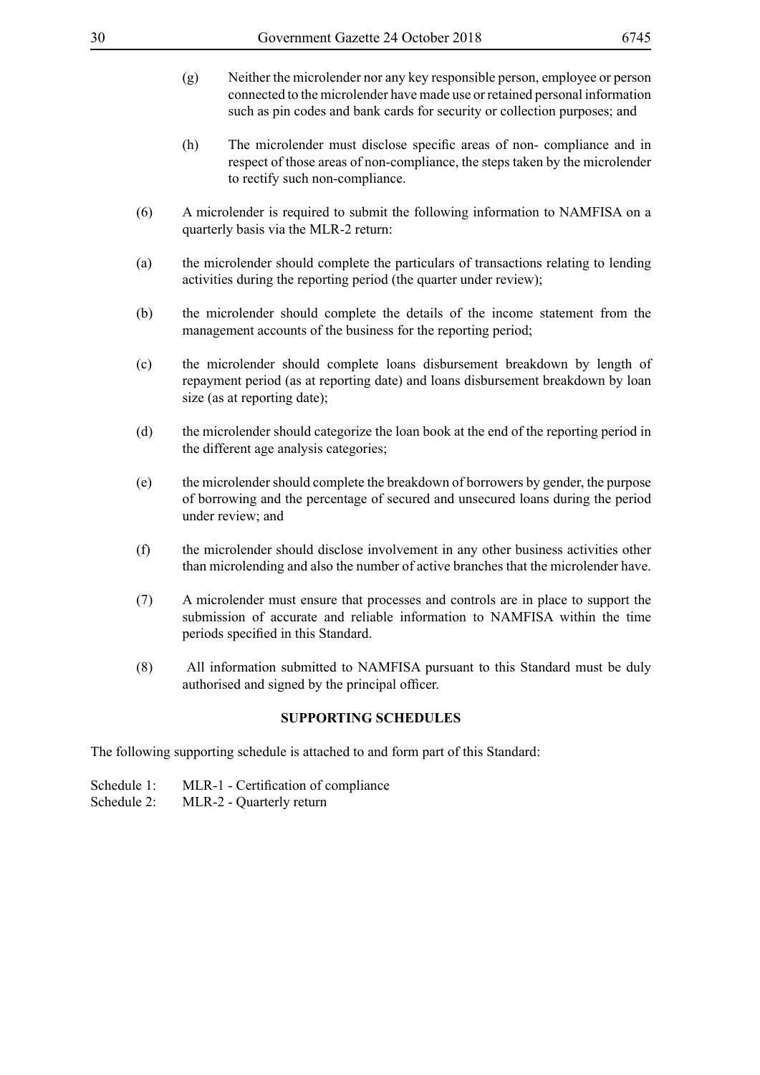- (g) Neither the microlender nor any key responsible person, employee or person connected to the microlender have made use or retained personal information such as pin codes and bank cards for security or collection purposes; and
- (h) The microlender must disclose specific areas of non- compliance and in respect of those areas of non-compliance, the steps taken by the microlender to rectify such non-compliance.
- (6) A microlender is required to submit the following information to NAMFISA on a quarterly basis via the MLR-2 return:
- (a) the microlender should complete the particulars of transactions relating to lending activities during the reporting period (the quarter under review);
- (b) the microlender should complete the details of the income statement from the management accounts of the business for the reporting period;
- (c) the microlender should complete loans disbursement breakdown by length of repayment period (as at reporting date) and loans disbursement breakdown by loan size (as at reporting date);
- (d) the microlender should categorize the loan book at the end of the reporting period in the different age analysis categories;
- (e) the microlender should complete the breakdown of borrowers by gender, the purpose of borrowing and the percentage of secured and unsecured loans during the period under review; and
- (f) the microlender should disclose involvement in any other business activities other than microlending and also the number of active branches that the microlender have.
- (7) A microlender must ensure that processes and controls are in place to support the submission of accurate and reliable information to NAMFISA within the time periods specified in this Standard.
- (8) All information submitted to NAMFISA pursuant to this Standard must be duly authorised and signed by the principal officer.

## **SUPPORTING SCHEDULES**

The following supporting schedule is attached to and form part of this Standard:

- Schedule 1: MLR-1 Certification of compliance
- Schedule 2: MLR-2 Quarterly return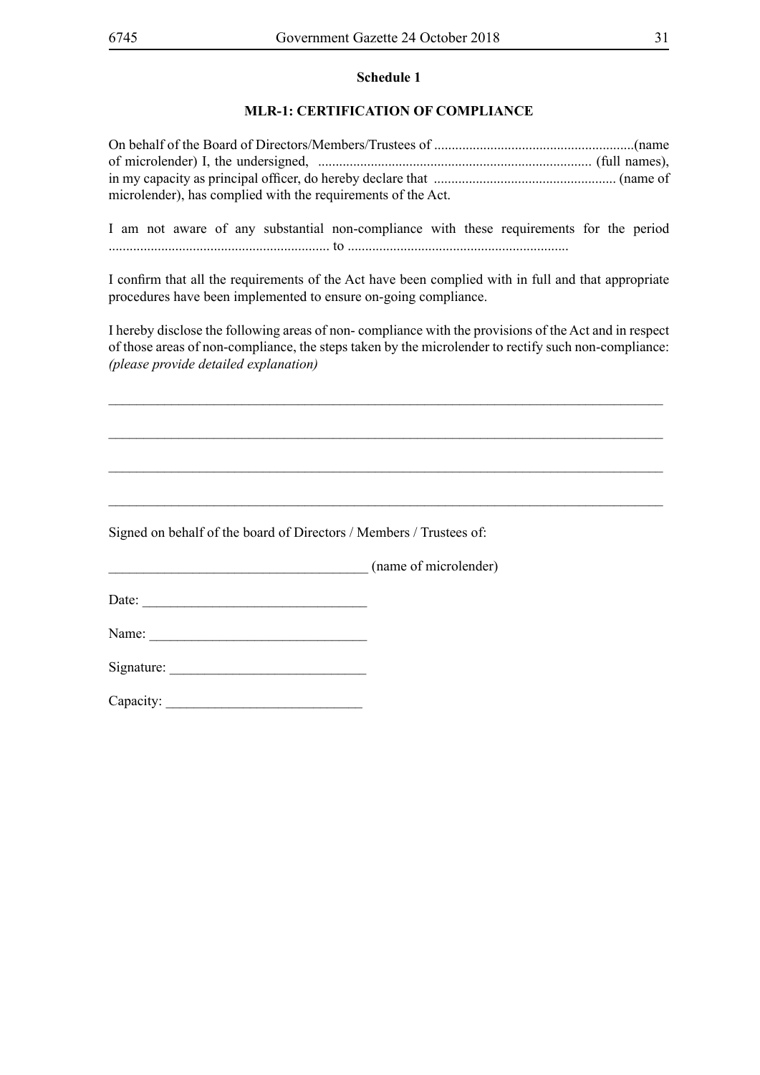## **MLR-1: CERTIFICATION OF COMPLIANCE**

| microlender), has complied with the requirements of the Act. |  |
|--------------------------------------------------------------|--|

I am not aware of any substantial non-compliance with these requirements for the period ............................................................... to ...............................................................

I confirm that all the requirements of the Act have been complied with in full and that appropriate procedures have been implemented to ensure on-going compliance.

I hereby disclose the following areas of non- compliance with the provisions of the Act and in respect of those areas of non-compliance, the steps taken by the microlender to rectify such non-compliance: *(please provide detailed explanation)*

*\_\_\_\_\_\_\_\_\_\_\_\_\_\_\_\_\_\_\_\_\_\_\_\_\_\_\_\_\_\_\_\_\_\_\_\_\_\_\_\_\_\_\_\_\_\_\_\_\_\_\_\_\_\_\_\_\_\_\_\_\_\_\_\_\_\_\_\_\_\_\_\_\_\_\_\_\_\_\_*

*\_\_\_\_\_\_\_\_\_\_\_\_\_\_\_\_\_\_\_\_\_\_\_\_\_\_\_\_\_\_\_\_\_\_\_\_\_\_\_\_\_\_\_\_\_\_\_\_\_\_\_\_\_\_\_\_\_\_\_\_\_\_\_\_\_\_\_\_\_\_\_\_\_\_\_\_\_\_\_*

*\_\_\_\_\_\_\_\_\_\_\_\_\_\_\_\_\_\_\_\_\_\_\_\_\_\_\_\_\_\_\_\_\_\_\_\_\_\_\_\_\_\_\_\_\_\_\_\_\_\_\_\_\_\_\_\_\_\_\_\_\_\_\_\_\_\_\_\_\_\_\_\_\_\_\_\_\_\_\_*

*\_\_\_\_\_\_\_\_\_\_\_\_\_\_\_\_\_\_\_\_\_\_\_\_\_\_\_\_\_\_\_\_\_\_\_\_\_\_\_\_\_\_\_\_\_\_\_\_\_\_\_\_\_\_\_\_\_\_\_\_\_\_\_\_\_\_\_\_\_\_\_\_\_\_\_\_\_\_\_*

Signed on behalf of the board of Directors / Members / Trustees of:

(name of microlender)

Date:

Name: \_\_\_\_\_\_\_\_\_\_\_\_\_\_\_\_\_\_\_\_\_\_\_\_\_\_\_\_\_\_\_

Signature: \_\_\_\_\_\_\_\_\_\_\_\_\_\_\_\_\_\_\_\_\_\_\_\_\_\_\_\_

Capacity: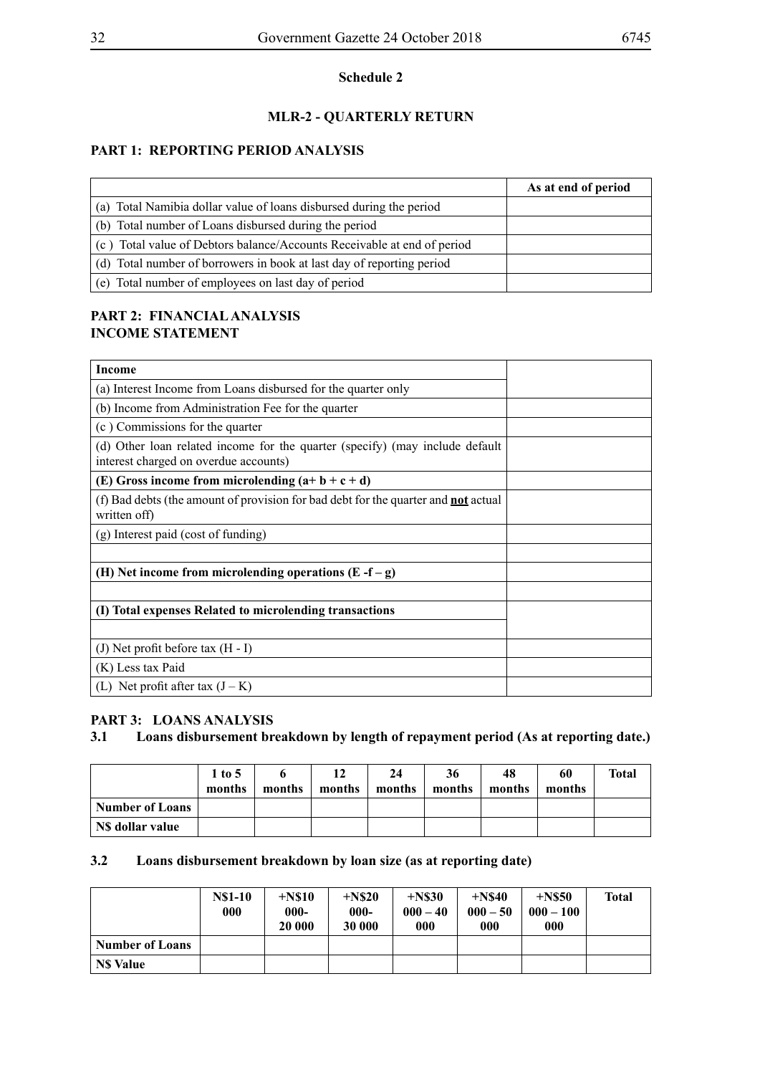## **MLR-2 - QUARTERLY RETURN**

## **PART 1: REPORTING PERIOD ANALYSIS**

|                                                                         | As at end of period |
|-------------------------------------------------------------------------|---------------------|
| (a) Total Namibia dollar value of loans disbursed during the period     |                     |
| (b) Total number of Loans disbursed during the period                   |                     |
| (c) Total value of Debtors balance/Accounts Receivable at end of period |                     |
| (d) Total number of borrowers in book at last day of reporting period   |                     |
| (e) Total number of employees on last day of period                     |                     |

## **PART 2: FINANCIAL ANALYSIS INCOME STATEMENT**

| Income                                                                                                                |  |
|-----------------------------------------------------------------------------------------------------------------------|--|
| (a) Interest Income from Loans disbursed for the quarter only                                                         |  |
| (b) Income from Administration Fee for the quarter                                                                    |  |
| (c) Commissions for the quarter                                                                                       |  |
| (d) Other loan related income for the quarter (specify) (may include default<br>interest charged on overdue accounts) |  |
| (E) Gross income from microlending $(a+b+c+d)$                                                                        |  |
| (f) Bad debts (the amount of provision for bad debt for the quarter and <b>not</b> actual<br>written off)             |  |
| (g) Interest paid (cost of funding)                                                                                   |  |
|                                                                                                                       |  |
| (H) Net income from microlending operations $(E - f - g)$                                                             |  |
|                                                                                                                       |  |
| (I) Total expenses Related to microlending transactions                                                               |  |
|                                                                                                                       |  |
| (J) Net profit before tax $(H - I)$                                                                                   |  |
| (K) Less tax Paid                                                                                                     |  |
| (L) Net profit after tax $(J - K)$                                                                                    |  |

## **PART 3: LOANS ANALYSIS**

## **3.1 Loans disbursement breakdown by length of repayment period (As at reporting date.)**

|                 | $1$ to 5<br>months | months | 12<br>months | 24<br>months | 36<br>months | 48<br>months | 60<br>months | Total |
|-----------------|--------------------|--------|--------------|--------------|--------------|--------------|--------------|-------|
| Number of Loans |                    |        |              |              |              |              |              |       |
| NS dollar value |                    |        |              |              |              |              |              |       |

## **3.2 Loans disbursement breakdown by loan size (as at reporting date)**

|                 | <b>N\$1-10</b><br>000 | $+$ N\$10<br>$000 -$<br>20 000 | $+$ N\$20<br>$000 -$<br>30 000 | $+$ N\$30<br>$000 - 40$<br>000 | $+$ N\$40<br>$000 - 50$<br>000 | $+$ N\$50<br>$000 - 100$<br>000 | <b>Total</b> |
|-----------------|-----------------------|--------------------------------|--------------------------------|--------------------------------|--------------------------------|---------------------------------|--------------|
| Number of Loans |                       |                                |                                |                                |                                |                                 |              |
| <b>NS Value</b> |                       |                                |                                |                                |                                |                                 |              |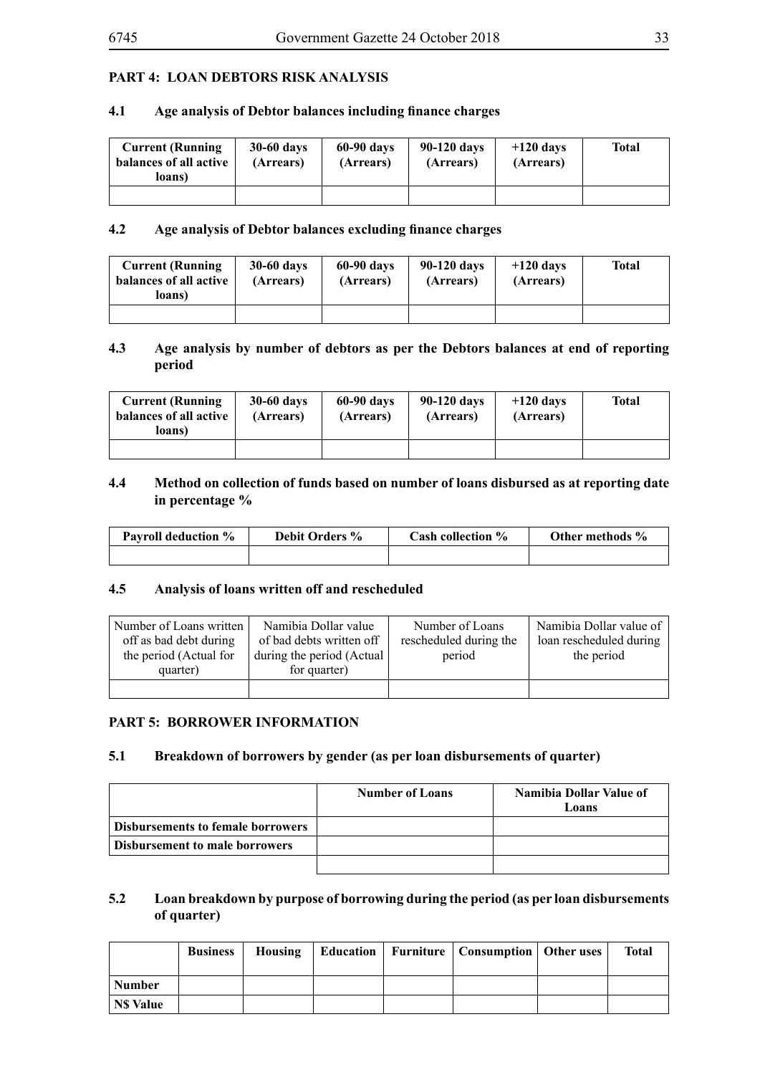## **PART 4: LOAN DEBTORS RISK ANALYSIS**

## **4.1 Age analysis of Debtor balances including finance charges**

| <b>Current (Running</b><br>balances of all active<br>loans) | $30-60$ days<br>(Arrears) | 60-90 days<br>(Arrears) | 90-120 days<br>(Arrears) | $+120$ days<br>(Arrears) | <b>Total</b> |
|-------------------------------------------------------------|---------------------------|-------------------------|--------------------------|--------------------------|--------------|
|                                                             |                           |                         |                          |                          |              |

#### **4.2 Age analysis of Debtor balances excluding finance charges**

| <b>Current (Running)</b><br>balances of all active<br>loans) | $30-60$ days<br>(Arrears) | 60-90 days<br>(Arrears) | 90-120 days<br>(Arrears) | $+120$ days<br>(Arrears) | <b>Total</b> |
|--------------------------------------------------------------|---------------------------|-------------------------|--------------------------|--------------------------|--------------|
|                                                              |                           |                         |                          |                          |              |

#### **4.3 Age analysis by number of debtors as per the Debtors balances at end of reporting period**

| <b>Current (Running</b><br>balances of all active<br>loans) | <b>30-60 days</b><br>(Arrears) | 60-90 days<br>(Arrears) | 90-120 days<br>(Arrears) | $+120$ days<br>(Arrears) | <b>Total</b> |
|-------------------------------------------------------------|--------------------------------|-------------------------|--------------------------|--------------------------|--------------|
|                                                             |                                |                         |                          |                          |              |

## **4.4 Method on collection of funds based on number of loans disbursed as at reporting date in percentage %**

| <b>Payroll deduction %</b> | <b>Debit Orders %</b> | Cash collection % | Other methods % |
|----------------------------|-----------------------|-------------------|-----------------|
|                            |                       |                   |                 |

#### **4.5 Analysis of loans written off and rescheduled**

| Number of Loans written<br>off as bad debt during<br>the period (Actual for<br>quarter) | Namibia Dollar value<br>of bad debts written off<br>during the period (Actual<br>for quarter) | Number of Loans<br>rescheduled during the<br>period | Namibia Dollar value of<br>loan rescheduled during<br>the period |
|-----------------------------------------------------------------------------------------|-----------------------------------------------------------------------------------------------|-----------------------------------------------------|------------------------------------------------------------------|
|                                                                                         |                                                                                               |                                                     |                                                                  |

## **PART 5: BORROWER INFORMATION**

#### **5.1 Breakdown of borrowers by gender (as per loan disbursements of quarter)**

|                                          | <b>Number of Loans</b> | Namibia Dollar Value of<br>Loans |
|------------------------------------------|------------------------|----------------------------------|
| <b>Disbursements to female borrowers</b> |                        |                                  |
| <b>Disbursement to male borrowers</b>    |                        |                                  |
|                                          |                        |                                  |

## **5.2 Loan breakdown by purpose of borrowing during the period (as per loan disbursements of quarter)**

|                 | <b>Business</b> |  | Housing   Education   Furniture   Consumption   Other uses | Total |
|-----------------|-----------------|--|------------------------------------------------------------|-------|
| Number          |                 |  |                                                            |       |
| <b>NS Value</b> |                 |  |                                                            |       |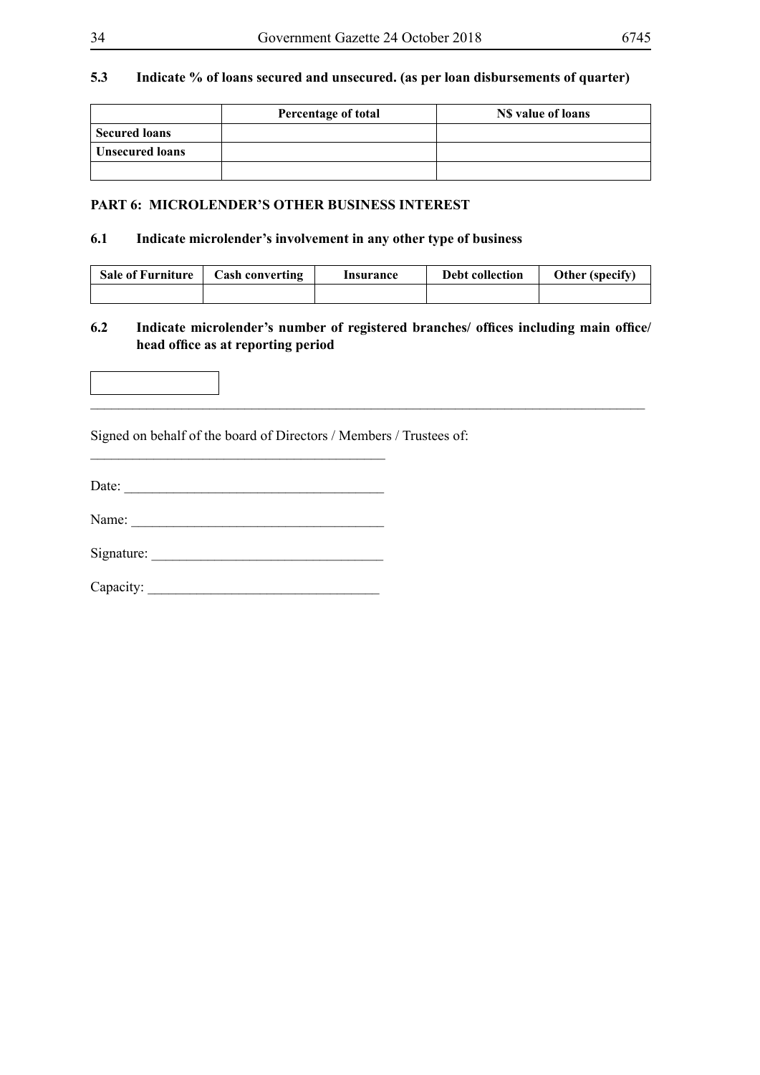## **5.3 Indicate % of loans secured and unsecured. (as per loan disbursements of quarter)**

|                        | Percentage of total | NS value of loans |
|------------------------|---------------------|-------------------|
| <b>Secured loans</b>   |                     |                   |
| <b>Unsecured loans</b> |                     |                   |
|                        |                     |                   |

## **PART 6: MICROLENDER'S OTHER BUSINESS INTEREST**

## **6.1 Indicate microlender's involvement in any other type of business**

| <b>Sale of Furniture</b> | <b>Cash converting</b> | Insurance | Debt collection | Other (specify) |
|--------------------------|------------------------|-----------|-----------------|-----------------|
|                          |                        |           |                 |                 |

## **6.2 Indicate microlender's number of registered branches/ offices including main office/ head office as at reporting period**



Signed on behalf of the board of Directors / Members / Trustees of:

Date: \_\_\_\_\_\_\_\_\_\_\_\_\_\_\_\_\_\_\_\_\_\_\_\_\_\_\_\_\_\_\_\_\_\_\_\_\_

\_\_\_\_\_\_\_\_\_\_\_\_\_\_\_\_\_\_\_\_\_\_\_\_\_\_\_\_\_\_\_\_\_\_\_\_\_\_\_\_\_\_

| Name: |  |
|-------|--|
|       |  |

Signature:

Capacity: \_\_\_\_\_\_\_\_\_\_\_\_\_\_\_\_\_\_\_\_\_\_\_\_\_\_\_\_\_\_\_\_\_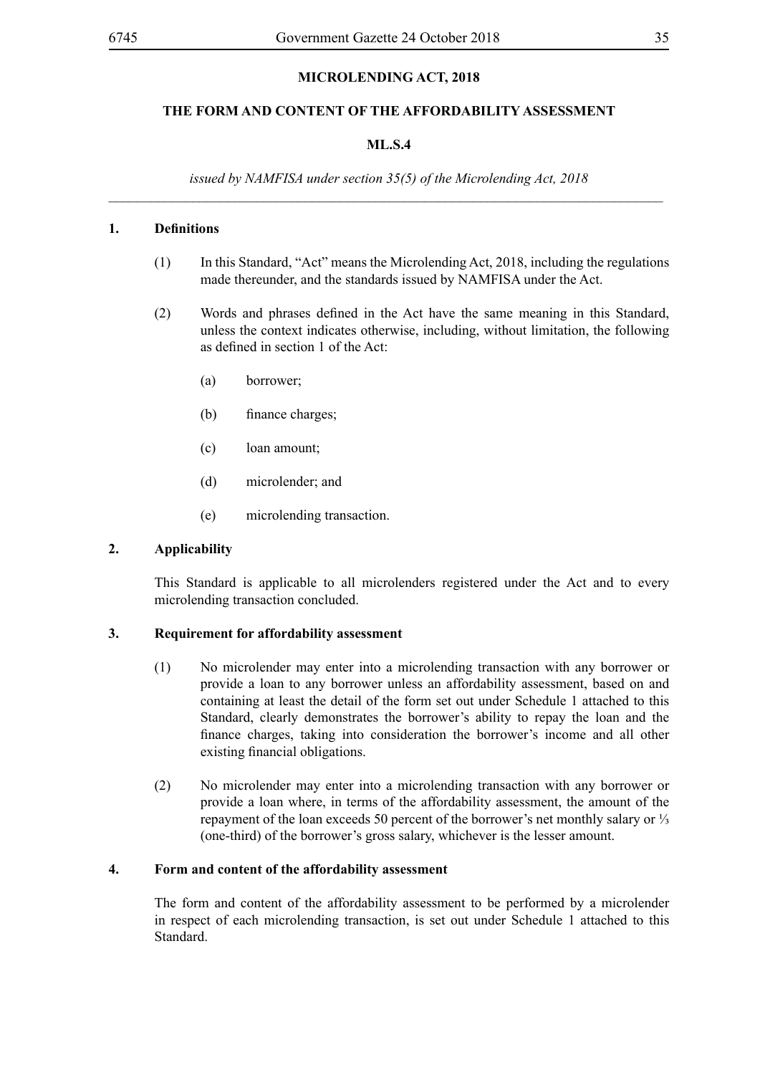## **MICROLENDING ACT, 2018**

## **THE FORM AND CONTENT OF THE AFFORDABILITY ASSESSMENT**

## **ML.S.4**

*issued by NAMFISA under section 35(5) of the Microlending Act, 2018*  $\_$ 

## **1. Definitions**

- (1) In this Standard, "Act" means the Microlending Act, 2018, including the regulations made thereunder, and the standards issued by NAMFISA under the Act.
- (2) Words and phrases defined in the Act have the same meaning in this Standard, unless the context indicates otherwise, including, without limitation, the following as defined in section 1 of the Act:
	- (a) borrower;
	- (b) finance charges;
	- (c) loan amount;
	- (d) microlender; and
	- (e) microlending transaction.

## **2. Applicability**

This Standard is applicable to all microlenders registered under the Act and to every microlending transaction concluded.

## **3. Requirement for affordability assessment**

- (1) No microlender may enter into a microlending transaction with any borrower or provide a loan to any borrower unless an affordability assessment, based on and containing at least the detail of the form set out under Schedule 1 attached to this Standard, clearly demonstrates the borrower's ability to repay the loan and the finance charges, taking into consideration the borrower's income and all other existing financial obligations.
- (2) No microlender may enter into a microlending transaction with any borrower or provide a loan where, in terms of the affordability assessment, the amount of the repayment of the loan exceeds 50 percent of the borrower's net monthly salary or ⅓ (one-third) of the borrower's gross salary, whichever is the lesser amount.

## **4. Form and content of the affordability assessment**

The form and content of the affordability assessment to be performed by a microlender in respect of each microlending transaction, is set out under Schedule 1 attached to this **Standard**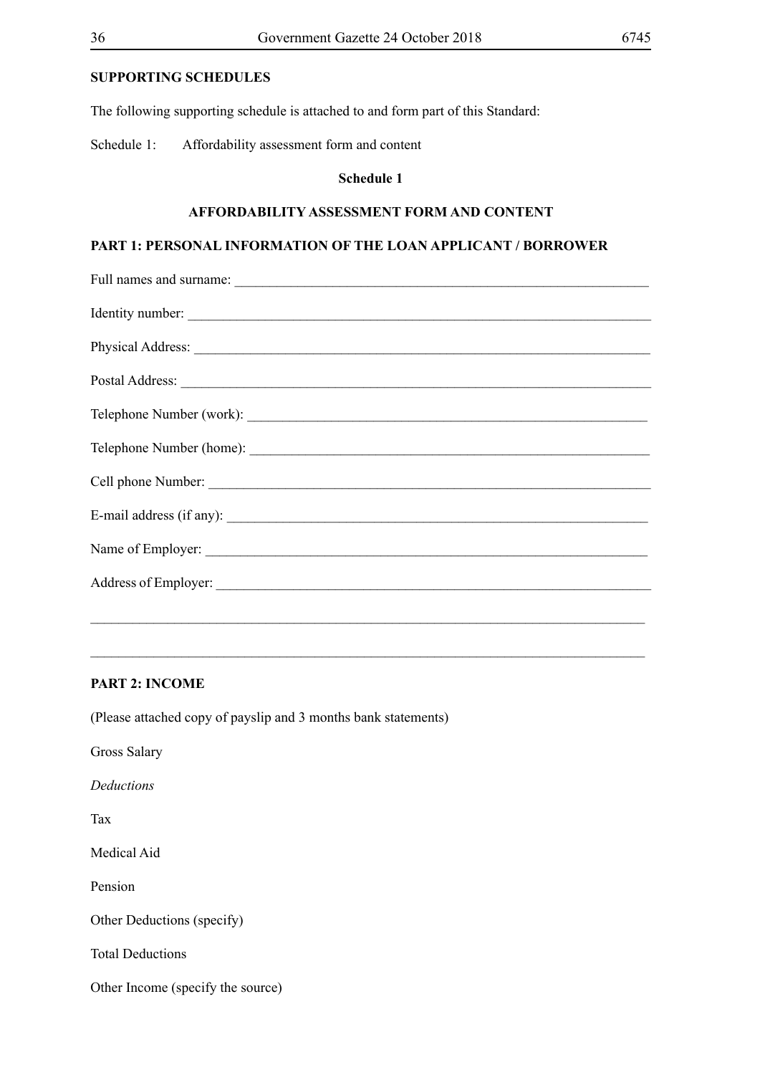## **SUPPORTING SCHEDULES**

The following supporting schedule is attached to and form part of this Standard:

Schedule 1: Affordability assessment form and content

## **Schedule 1**

#### **AFFORDABILITY ASSESSMENT FORM AND CONTENT**

## **PART 1: PERSONAL INFORMATION OF THE LOAN APPLICANT / BORROWER**

| Telephone Number (home): |
|--------------------------|
|                          |
|                          |
|                          |
|                          |
|                          |

 $\_$  , and the set of the set of the set of the set of the set of the set of the set of the set of the set of the set of the set of the set of the set of the set of the set of the set of the set of the set of the set of th

## **PART 2: INCOME**

(Please attached copy of payslip and 3 months bank statements)

Gross Salary

*Deductions* 

Tax

Medical Aid

Pension

Other Deductions (specify)

Total Deductions

Other Income (specify the source)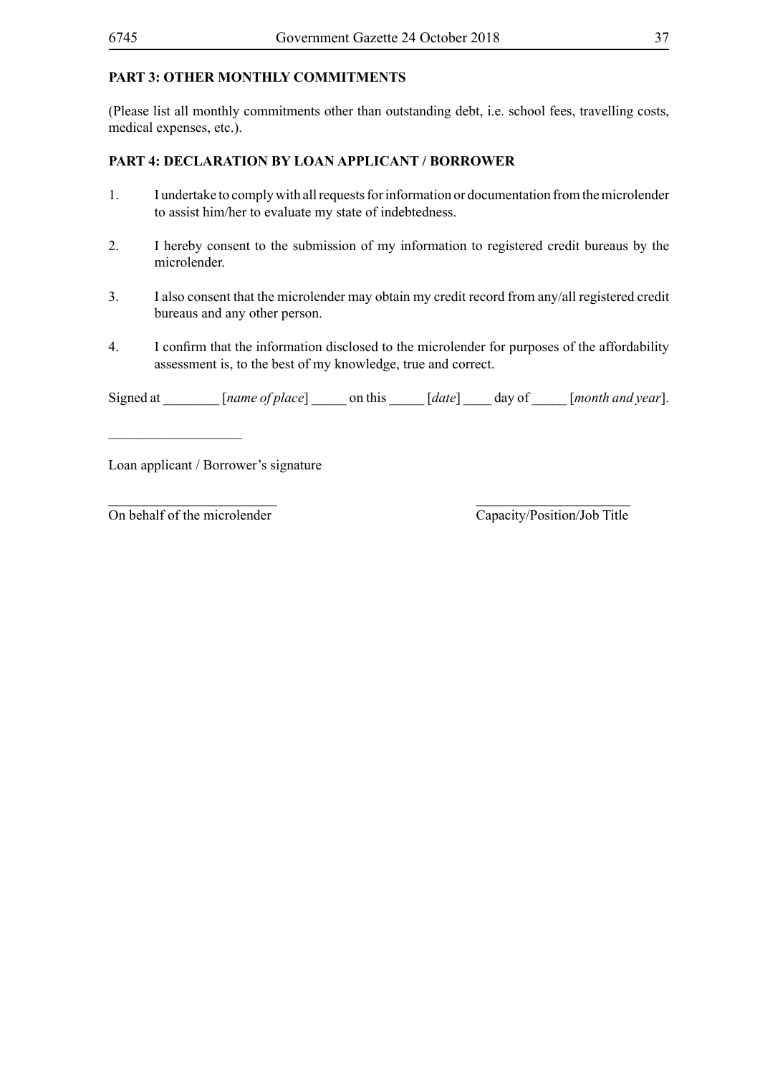## **PART 3: OTHER MONTHLY COMMITMENTS**

(Please list all monthly commitments other than outstanding debt, i.e. school fees, travelling costs, medical expenses, etc.).

## **PART 4: DECLARATION BY LOAN APPLICANT / BORROWER**

- 1. I undertake to comply with all requests for information or documentation from the microlender to assist him/her to evaluate my state of indebtedness.
- 2. I hereby consent to the submission of my information to registered credit bureaus by the microlender.
- 3. I also consent that the microlender may obtain my credit record from any/all registered credit bureaus and any other person.
- 4. I confirm that the information disclosed to the microlender for purposes of the affordability assessment is, to the best of my knowledge, true and correct.

Signed at [*name of place*] on this [*date*] day of [*month and year*].

\_\_\_\_\_\_\_\_\_\_\_\_\_\_\_\_\_\_\_\_\_\_\_\_ \_\_\_\_\_\_\_\_\_\_\_\_\_\_\_\_\_\_\_\_\_\_

Loan applicant / Borrower's signature

 $\overline{\text{On behalf of the microlender}}$   $\overline{\text{Capacity/Position/Job Title}}$ 

 $\overline{\phantom{a}}$  , where  $\overline{\phantom{a}}$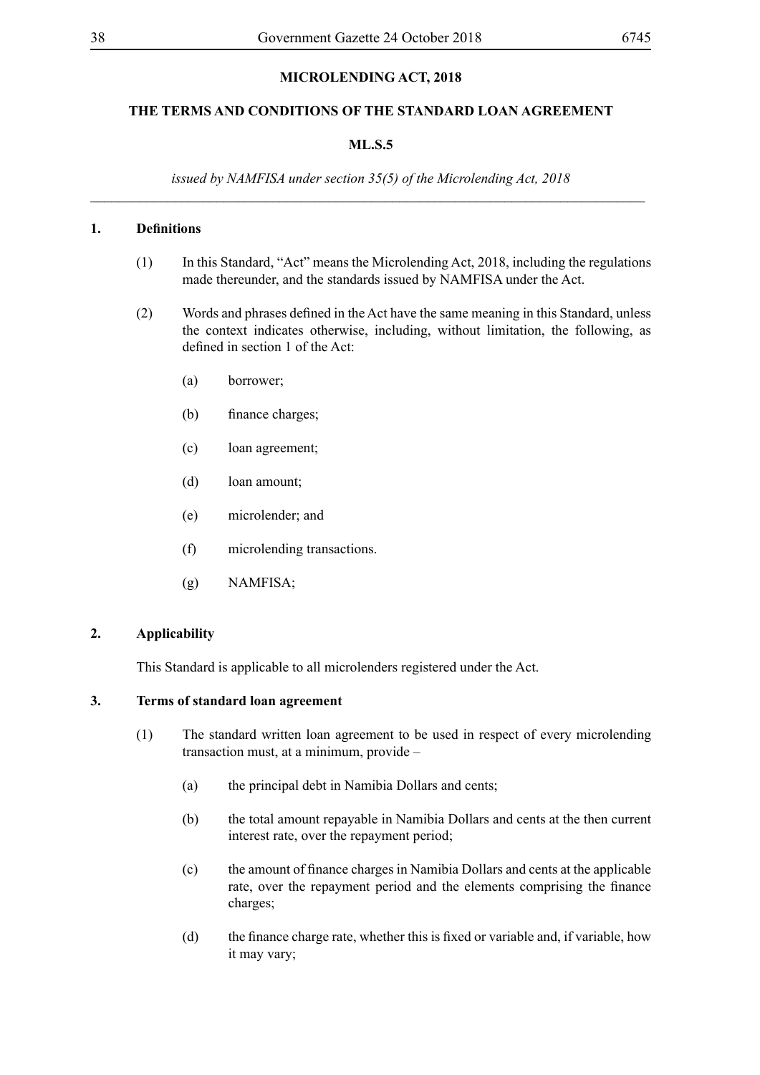## **MICROLENDING ACT, 2018**

## **THE TERMS AND CONDITIONS OF THE STANDARD LOAN AGREEMENT**

## **ML.S.5**

*issued by NAMFISA under section 35(5) of the Microlending Act, 2018* \_\_\_\_\_\_\_\_\_\_\_\_\_\_\_\_\_\_\_\_\_\_\_\_\_\_\_\_\_\_\_\_\_\_\_\_\_\_\_\_\_\_\_\_\_\_\_\_\_\_\_\_\_\_\_\_\_\_\_\_\_\_\_\_\_\_\_\_\_\_\_\_\_\_\_\_\_\_\_

#### **1. Definitions**

- (1) In this Standard, "Act" means the Microlending Act, 2018, including the regulations made thereunder, and the standards issued by NAMFISA under the Act.
- (2) Words and phrases defined in the Act have the same meaning in this Standard, unless the context indicates otherwise, including, without limitation, the following, as defined in section 1 of the Act:
	- (a) borrower;
	- (b) finance charges;
	- (c) loan agreement;
	- (d) loan amount;
	- (e) microlender; and
	- (f) microlending transactions.
	- (g) NAMFISA;

#### **2. Applicability**

This Standard is applicable to all microlenders registered under the Act.

## **3. Terms of standard loan agreement**

- (1) The standard written loan agreement to be used in respect of every microlending transaction must, at a minimum, provide –
	- (a) the principal debt in Namibia Dollars and cents;
	- (b) the total amount repayable in Namibia Dollars and cents at the then current interest rate, over the repayment period;
	- (c) the amount of finance charges in Namibia Dollars and cents at the applicable rate, over the repayment period and the elements comprising the finance charges;
	- (d) the finance charge rate, whether this is fixed or variable and, if variable, how it may vary;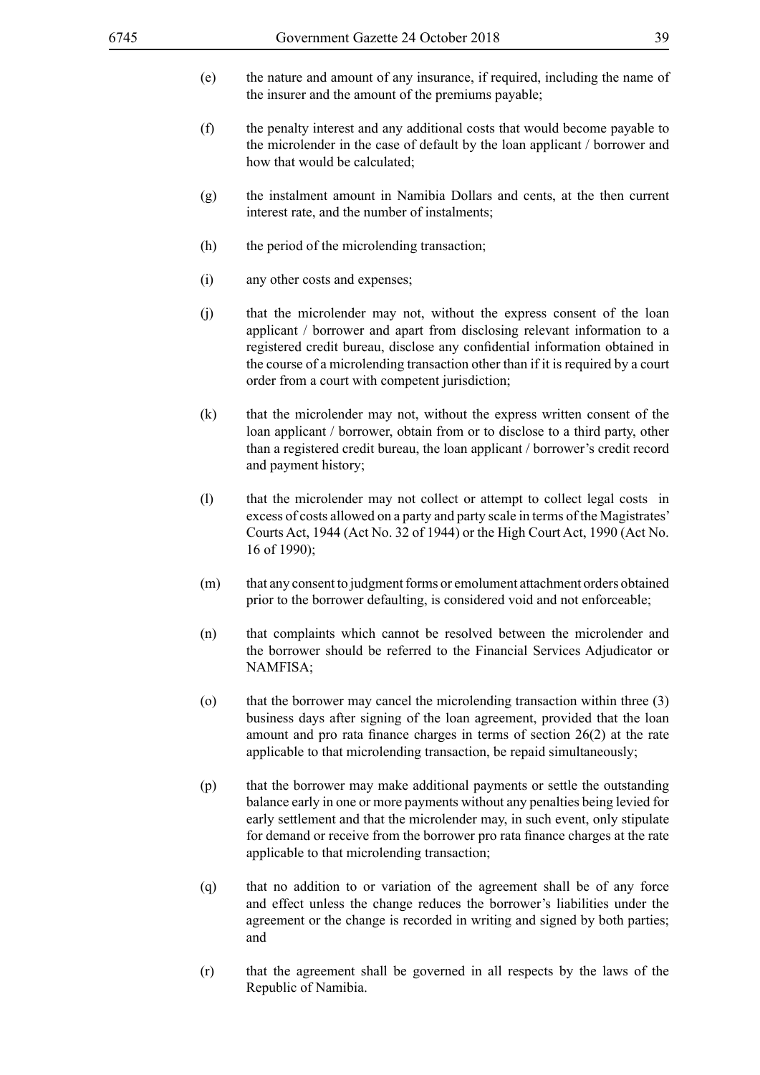- (e) the nature and amount of any insurance, if required, including the name of the insurer and the amount of the premiums payable;
- (f) the penalty interest and any additional costs that would become payable to the microlender in the case of default by the loan applicant / borrower and how that would be calculated;
- (g) the instalment amount in Namibia Dollars and cents, at the then current interest rate, and the number of instalments;
- (h) the period of the microlending transaction;
- (i) any other costs and expenses;
- (j) that the microlender may not, without the express consent of the loan applicant / borrower and apart from disclosing relevant information to a registered credit bureau, disclose any confidential information obtained in the course of a microlending transaction other than if it is required by a court order from a court with competent jurisdiction;
- (k) that the microlender may not, without the express written consent of the loan applicant / borrower, obtain from or to disclose to a third party, other than a registered credit bureau, the loan applicant / borrower's credit record and payment history;
- (l) that the microlender may not collect or attempt to collect legal costs in excess of costs allowed on a party and party scale in terms of the Magistrates' Courts Act, 1944 (Act No. 32 of 1944) or the High Court Act, 1990 (Act No. 16 of 1990);
- (m) that any consent to judgment forms or emolument attachment orders obtained prior to the borrower defaulting, is considered void and not enforceable;
- (n) that complaints which cannot be resolved between the microlender and the borrower should be referred to the Financial Services Adjudicator or NAMFISA;
- (o) that the borrower may cancel the microlending transaction within three (3) business days after signing of the loan agreement, provided that the loan amount and pro rata finance charges in terms of section 26(2) at the rate applicable to that microlending transaction, be repaid simultaneously;
- (p) that the borrower may make additional payments or settle the outstanding balance early in one or more payments without any penalties being levied for early settlement and that the microlender may, in such event, only stipulate for demand or receive from the borrower pro rata finance charges at the rate applicable to that microlending transaction;
- (q) that no addition to or variation of the agreement shall be of any force and effect unless the change reduces the borrower's liabilities under the agreement or the change is recorded in writing and signed by both parties; and
- (r) that the agreement shall be governed in all respects by the laws of the Republic of Namibia.